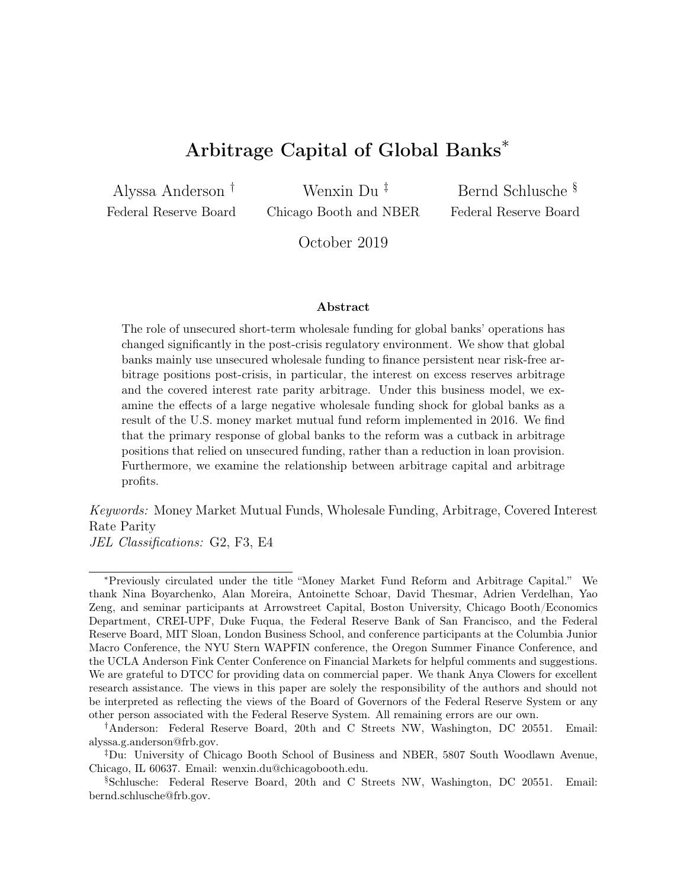# Arbitrage Capital of Global Banks<sup>∗</sup>

Alyssa Anderson † Federal Reserve Board

Wenxin Du ‡ Chicago Booth and NBER

Bernd Schlusche § Federal Reserve Board

October 2019

#### Abstract

The role of unsecured short-term wholesale funding for global banks' operations has changed significantly in the post-crisis regulatory environment. We show that global banks mainly use unsecured wholesale funding to finance persistent near risk-free arbitrage positions post-crisis, in particular, the interest on excess reserves arbitrage and the covered interest rate parity arbitrage. Under this business model, we examine the effects of a large negative wholesale funding shock for global banks as a result of the U.S. money market mutual fund reform implemented in 2016. We find that the primary response of global banks to the reform was a cutback in arbitrage positions that relied on unsecured funding, rather than a reduction in loan provision. Furthermore, we examine the relationship between arbitrage capital and arbitrage profits.

Keywords: Money Market Mutual Funds, Wholesale Funding, Arbitrage, Covered Interest Rate Parity

JEL Classifications: G2, F3, E4

<sup>∗</sup>Previously circulated under the title "Money Market Fund Reform and Arbitrage Capital." We thank Nina Boyarchenko, Alan Moreira, Antoinette Schoar, David Thesmar, Adrien Verdelhan, Yao Zeng, and seminar participants at Arrowstreet Capital, Boston University, Chicago Booth/Economics Department, CREI-UPF, Duke Fuqua, the Federal Reserve Bank of San Francisco, and the Federal Reserve Board, MIT Sloan, London Business School, and conference participants at the Columbia Junior Macro Conference, the NYU Stern WAPFIN conference, the Oregon Summer Finance Conference, and the UCLA Anderson Fink Center Conference on Financial Markets for helpful comments and suggestions. We are grateful to DTCC for providing data on commercial paper. We thank Anya Clowers for excellent research assistance. The views in this paper are solely the responsibility of the authors and should not be interpreted as reflecting the views of the Board of Governors of the Federal Reserve System or any other person associated with the Federal Reserve System. All remaining errors are our own.

<sup>†</sup>Anderson: Federal Reserve Board, 20th and C Streets NW, Washington, DC 20551. Email: alyssa.g.anderson@frb.gov.

<sup>‡</sup>Du: University of Chicago Booth School of Business and NBER, 5807 South Woodlawn Avenue, Chicago, IL 60637. Email: wenxin.du@chicagobooth.edu.

<sup>§</sup>Schlusche: Federal Reserve Board, 20th and C Streets NW, Washington, DC 20551. Email: bernd.schlusche@frb.gov.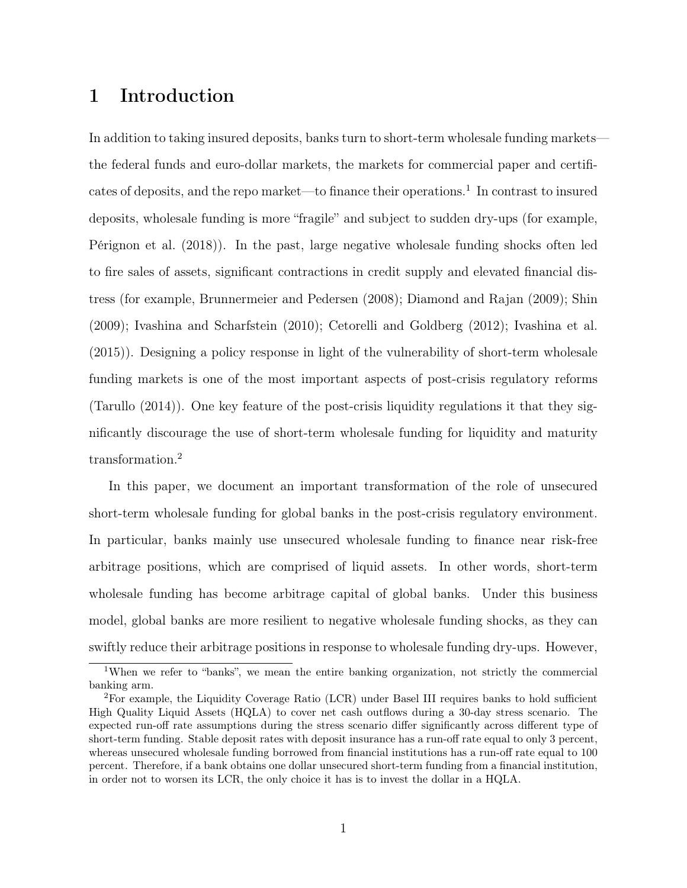# 1 Introduction

In addition to taking insured deposits, banks turn to short-term wholesale funding markets the federal funds and euro-dollar markets, the markets for commercial paper and certificates of deposits, and the repo market—to finance their operations.<sup>1</sup> In contrast to insured deposits, wholesale funding is more "fragile" and subject to sudden dry-ups (for example, Pérignon et al. (2018)). In the past, large negative wholesale funding shocks often led to fire sales of assets, significant contractions in credit supply and elevated financial distress (for example, Brunnermeier and Pedersen (2008); Diamond and Rajan (2009); Shin (2009); Ivashina and Scharfstein (2010); Cetorelli and Goldberg (2012); Ivashina et al. (2015)). Designing a policy response in light of the vulnerability of short-term wholesale funding markets is one of the most important aspects of post-crisis regulatory reforms (Tarullo (2014)). One key feature of the post-crisis liquidity regulations it that they significantly discourage the use of short-term wholesale funding for liquidity and maturity transformation.<sup>2</sup>

In this paper, we document an important transformation of the role of unsecured short-term wholesale funding for global banks in the post-crisis regulatory environment. In particular, banks mainly use unsecured wholesale funding to finance near risk-free arbitrage positions, which are comprised of liquid assets. In other words, short-term wholesale funding has become arbitrage capital of global banks. Under this business model, global banks are more resilient to negative wholesale funding shocks, as they can swiftly reduce their arbitrage positions in response to wholesale funding dry-ups. However,

<sup>&</sup>lt;sup>1</sup>When we refer to "banks", we mean the entire banking organization, not strictly the commercial banking arm.

<sup>2</sup>For example, the Liquidity Coverage Ratio (LCR) under Basel III requires banks to hold sufficient High Quality Liquid Assets (HQLA) to cover net cash outflows during a 30-day stress scenario. The expected run-off rate assumptions during the stress scenario differ significantly across different type of short-term funding. Stable deposit rates with deposit insurance has a run-off rate equal to only 3 percent, whereas unsecured wholesale funding borrowed from financial institutions has a run-off rate equal to 100 percent. Therefore, if a bank obtains one dollar unsecured short-term funding from a financial institution, in order not to worsen its LCR, the only choice it has is to invest the dollar in a HQLA.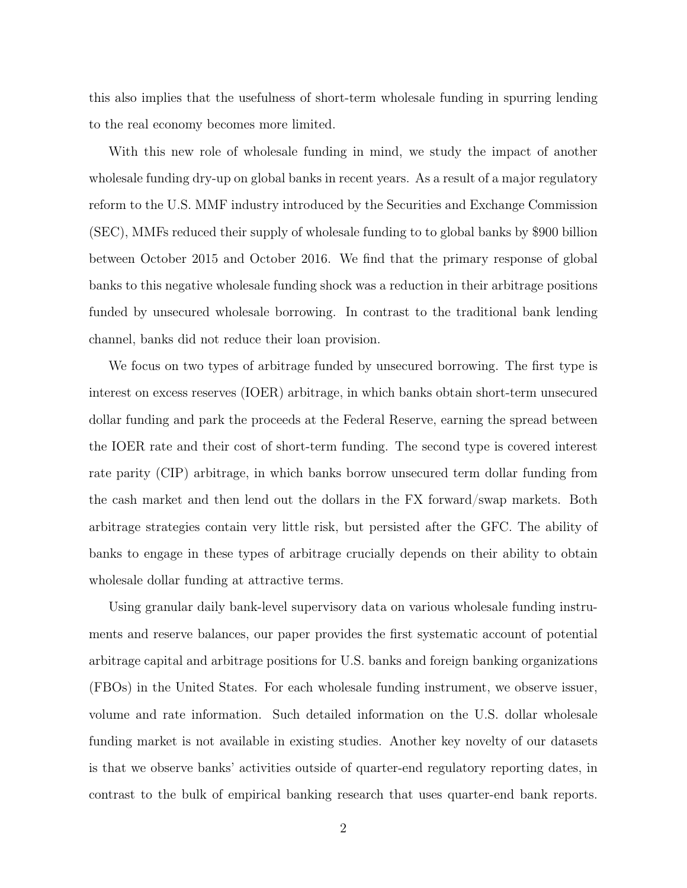this also implies that the usefulness of short-term wholesale funding in spurring lending to the real economy becomes more limited.

With this new role of wholesale funding in mind, we study the impact of another wholesale funding dry-up on global banks in recent years. As a result of a major regulatory reform to the U.S. MMF industry introduced by the Securities and Exchange Commission (SEC), MMFs reduced their supply of wholesale funding to to global banks by \$900 billion between October 2015 and October 2016. We find that the primary response of global banks to this negative wholesale funding shock was a reduction in their arbitrage positions funded by unsecured wholesale borrowing. In contrast to the traditional bank lending channel, banks did not reduce their loan provision.

We focus on two types of arbitrage funded by unsecured borrowing. The first type is interest on excess reserves (IOER) arbitrage, in which banks obtain short-term unsecured dollar funding and park the proceeds at the Federal Reserve, earning the spread between the IOER rate and their cost of short-term funding. The second type is covered interest rate parity (CIP) arbitrage, in which banks borrow unsecured term dollar funding from the cash market and then lend out the dollars in the FX forward/swap markets. Both arbitrage strategies contain very little risk, but persisted after the GFC. The ability of banks to engage in these types of arbitrage crucially depends on their ability to obtain wholesale dollar funding at attractive terms.

Using granular daily bank-level supervisory data on various wholesale funding instruments and reserve balances, our paper provides the first systematic account of potential arbitrage capital and arbitrage positions for U.S. banks and foreign banking organizations (FBOs) in the United States. For each wholesale funding instrument, we observe issuer, volume and rate information. Such detailed information on the U.S. dollar wholesale funding market is not available in existing studies. Another key novelty of our datasets is that we observe banks' activities outside of quarter-end regulatory reporting dates, in contrast to the bulk of empirical banking research that uses quarter-end bank reports.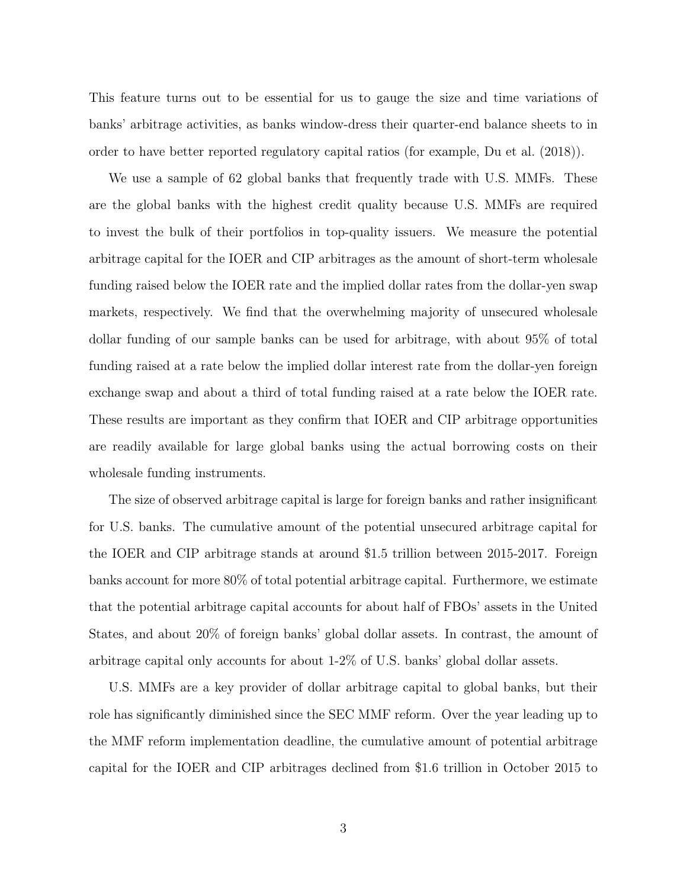This feature turns out to be essential for us to gauge the size and time variations of banks' arbitrage activities, as banks window-dress their quarter-end balance sheets to in order to have better reported regulatory capital ratios (for example, Du et al. (2018)).

We use a sample of 62 global banks that frequently trade with U.S. MMFs. These are the global banks with the highest credit quality because U.S. MMFs are required to invest the bulk of their portfolios in top-quality issuers. We measure the potential arbitrage capital for the IOER and CIP arbitrages as the amount of short-term wholesale funding raised below the IOER rate and the implied dollar rates from the dollar-yen swap markets, respectively. We find that the overwhelming majority of unsecured wholesale dollar funding of our sample banks can be used for arbitrage, with about 95% of total funding raised at a rate below the implied dollar interest rate from the dollar-yen foreign exchange swap and about a third of total funding raised at a rate below the IOER rate. These results are important as they confirm that IOER and CIP arbitrage opportunities are readily available for large global banks using the actual borrowing costs on their wholesale funding instruments.

The size of observed arbitrage capital is large for foreign banks and rather insignificant for U.S. banks. The cumulative amount of the potential unsecured arbitrage capital for the IOER and CIP arbitrage stands at around \$1.5 trillion between 2015-2017. Foreign banks account for more 80% of total potential arbitrage capital. Furthermore, we estimate that the potential arbitrage capital accounts for about half of FBOs' assets in the United States, and about 20% of foreign banks' global dollar assets. In contrast, the amount of arbitrage capital only accounts for about 1-2% of U.S. banks' global dollar assets.

U.S. MMFs are a key provider of dollar arbitrage capital to global banks, but their role has significantly diminished since the SEC MMF reform. Over the year leading up to the MMF reform implementation deadline, the cumulative amount of potential arbitrage capital for the IOER and CIP arbitrages declined from \$1.6 trillion in October 2015 to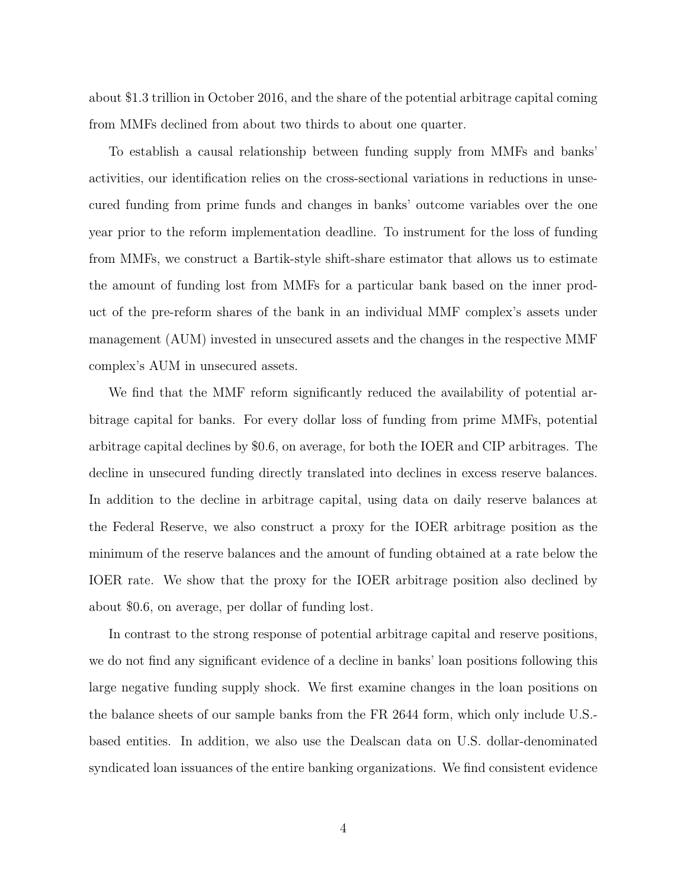about \$1.3 trillion in October 2016, and the share of the potential arbitrage capital coming from MMFs declined from about two thirds to about one quarter.

To establish a causal relationship between funding supply from MMFs and banks' activities, our identification relies on the cross-sectional variations in reductions in unsecured funding from prime funds and changes in banks' outcome variables over the one year prior to the reform implementation deadline. To instrument for the loss of funding from MMFs, we construct a Bartik-style shift-share estimator that allows us to estimate the amount of funding lost from MMFs for a particular bank based on the inner product of the pre-reform shares of the bank in an individual MMF complex's assets under management (AUM) invested in unsecured assets and the changes in the respective MMF complex's AUM in unsecured assets.

We find that the MMF reform significantly reduced the availability of potential arbitrage capital for banks. For every dollar loss of funding from prime MMFs, potential arbitrage capital declines by \$0.6, on average, for both the IOER and CIP arbitrages. The decline in unsecured funding directly translated into declines in excess reserve balances. In addition to the decline in arbitrage capital, using data on daily reserve balances at the Federal Reserve, we also construct a proxy for the IOER arbitrage position as the minimum of the reserve balances and the amount of funding obtained at a rate below the IOER rate. We show that the proxy for the IOER arbitrage position also declined by about \$0.6, on average, per dollar of funding lost.

In contrast to the strong response of potential arbitrage capital and reserve positions, we do not find any significant evidence of a decline in banks' loan positions following this large negative funding supply shock. We first examine changes in the loan positions on the balance sheets of our sample banks from the FR 2644 form, which only include U.S. based entities. In addition, we also use the Dealscan data on U.S. dollar-denominated syndicated loan issuances of the entire banking organizations. We find consistent evidence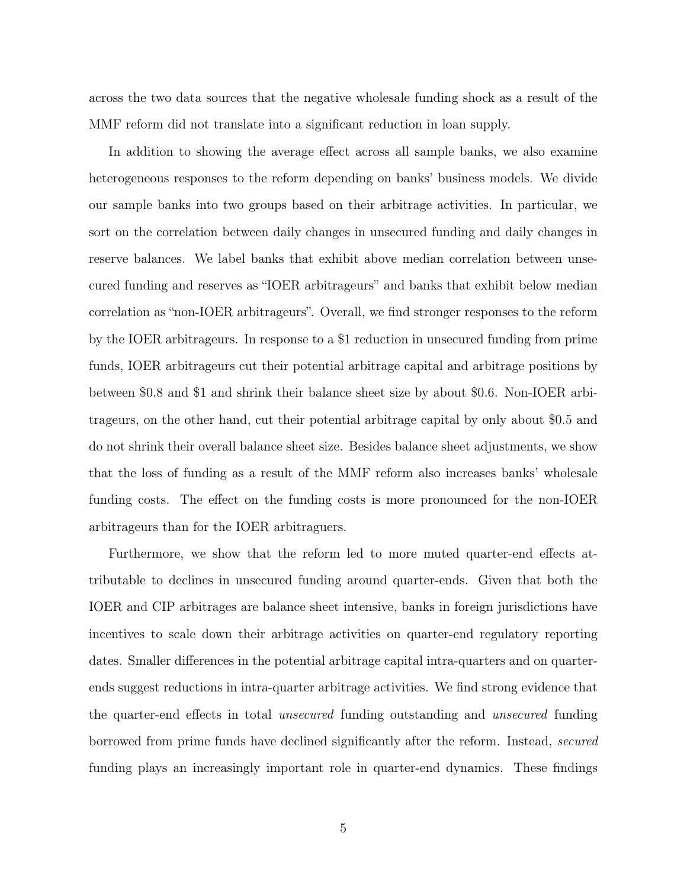across the two data sources that the negative wholesale funding shock as a result of the MMF reform did not translate into a significant reduction in loan supply.

In addition to showing the average effect across all sample banks, we also examine heterogeneous responses to the reform depending on banks' business models. We divide our sample banks into two groups based on their arbitrage activities. In particular, we sort on the correlation between daily changes in unsecured funding and daily changes in reserve balances. We label banks that exhibit above median correlation between unsecured funding and reserves as "IOER arbitrageurs" and banks that exhibit below median correlation as "non-IOER arbitrageurs". Overall, we find stronger responses to the reform by the IOER arbitrageurs. In response to a \$1 reduction in unsecured funding from prime funds, IOER arbitrageurs cut their potential arbitrage capital and arbitrage positions by between \$0.8 and \$1 and shrink their balance sheet size by about \$0.6. Non-IOER arbitrageurs, on the other hand, cut their potential arbitrage capital by only about \$0.5 and do not shrink their overall balance sheet size. Besides balance sheet adjustments, we show that the loss of funding as a result of the MMF reform also increases banks' wholesale funding costs. The effect on the funding costs is more pronounced for the non-IOER arbitrageurs than for the IOER arbitraguers.

Furthermore, we show that the reform led to more muted quarter-end effects attributable to declines in unsecured funding around quarter-ends. Given that both the IOER and CIP arbitrages are balance sheet intensive, banks in foreign jurisdictions have incentives to scale down their arbitrage activities on quarter-end regulatory reporting dates. Smaller differences in the potential arbitrage capital intra-quarters and on quarterends suggest reductions in intra-quarter arbitrage activities. We find strong evidence that the quarter-end effects in total unsecured funding outstanding and unsecured funding borrowed from prime funds have declined significantly after the reform. Instead, secured funding plays an increasingly important role in quarter-end dynamics. These findings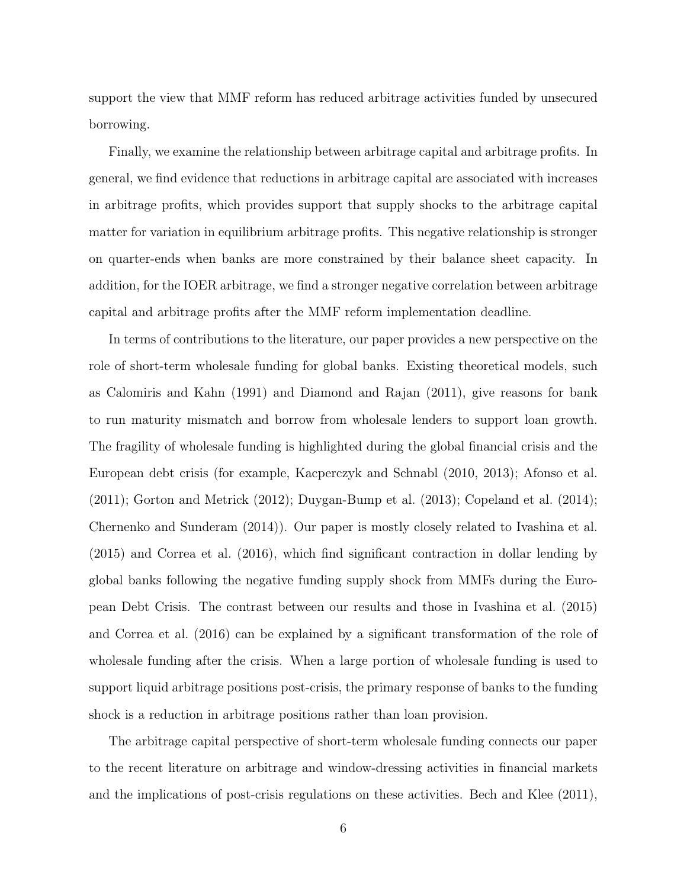support the view that MMF reform has reduced arbitrage activities funded by unsecured borrowing.

Finally, we examine the relationship between arbitrage capital and arbitrage profits. In general, we find evidence that reductions in arbitrage capital are associated with increases in arbitrage profits, which provides support that supply shocks to the arbitrage capital matter for variation in equilibrium arbitrage profits. This negative relationship is stronger on quarter-ends when banks are more constrained by their balance sheet capacity. In addition, for the IOER arbitrage, we find a stronger negative correlation between arbitrage capital and arbitrage profits after the MMF reform implementation deadline.

In terms of contributions to the literature, our paper provides a new perspective on the role of short-term wholesale funding for global banks. Existing theoretical models, such as Calomiris and Kahn (1991) and Diamond and Rajan (2011), give reasons for bank to run maturity mismatch and borrow from wholesale lenders to support loan growth. The fragility of wholesale funding is highlighted during the global financial crisis and the European debt crisis (for example, Kacperczyk and Schnabl (2010, 2013); Afonso et al.  $(2011)$ ; Gorton and Metrick  $(2012)$ ; Duygan-Bump et al.  $(2013)$ ; Copeland et al.  $(2014)$ ; Chernenko and Sunderam (2014)). Our paper is mostly closely related to Ivashina et al. (2015) and Correa et al. (2016), which find significant contraction in dollar lending by global banks following the negative funding supply shock from MMFs during the European Debt Crisis. The contrast between our results and those in Ivashina et al. (2015) and Correa et al. (2016) can be explained by a significant transformation of the role of wholesale funding after the crisis. When a large portion of wholesale funding is used to support liquid arbitrage positions post-crisis, the primary response of banks to the funding shock is a reduction in arbitrage positions rather than loan provision.

The arbitrage capital perspective of short-term wholesale funding connects our paper to the recent literature on arbitrage and window-dressing activities in financial markets and the implications of post-crisis regulations on these activities. Bech and Klee (2011),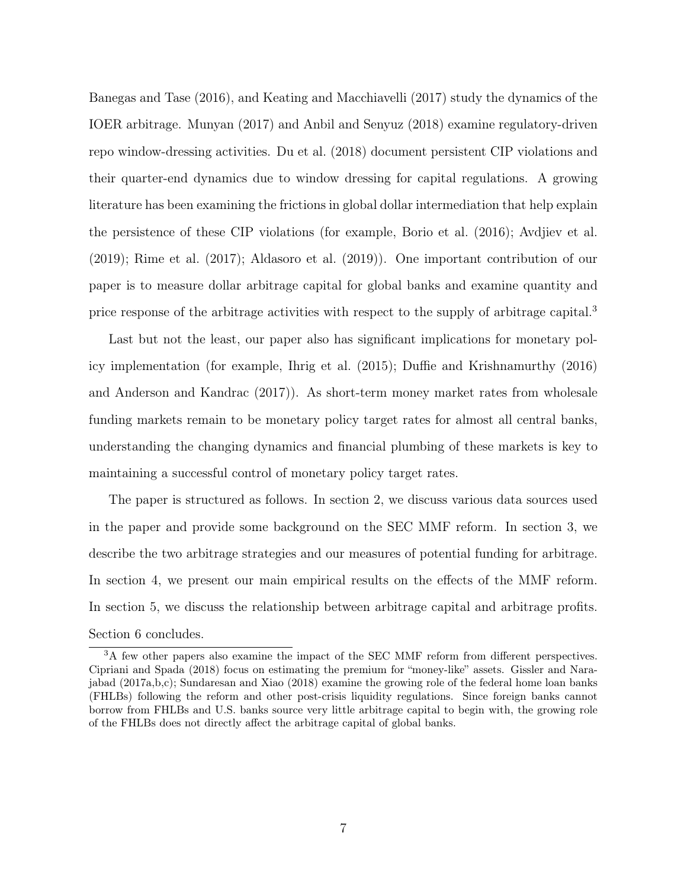Banegas and Tase (2016), and Keating and Macchiavelli (2017) study the dynamics of the IOER arbitrage. Munyan (2017) and Anbil and Senyuz (2018) examine regulatory-driven repo window-dressing activities. Du et al. (2018) document persistent CIP violations and their quarter-end dynamics due to window dressing for capital regulations. A growing literature has been examining the frictions in global dollar intermediation that help explain the persistence of these CIP violations (for example, Borio et al. (2016); Avdjiev et al. (2019); Rime et al. (2017); Aldasoro et al. (2019)). One important contribution of our paper is to measure dollar arbitrage capital for global banks and examine quantity and price response of the arbitrage activities with respect to the supply of arbitrage capital.<sup>3</sup>

Last but not the least, our paper also has significant implications for monetary policy implementation (for example, Ihrig et al. (2015); Duffie and Krishnamurthy (2016) and Anderson and Kandrac (2017)). As short-term money market rates from wholesale funding markets remain to be monetary policy target rates for almost all central banks, understanding the changing dynamics and financial plumbing of these markets is key to maintaining a successful control of monetary policy target rates.

The paper is structured as follows. In section 2, we discuss various data sources used in the paper and provide some background on the SEC MMF reform. In section 3, we describe the two arbitrage strategies and our measures of potential funding for arbitrage. In section 4, we present our main empirical results on the effects of the MMF reform. In section 5, we discuss the relationship between arbitrage capital and arbitrage profits. Section 6 concludes.

<sup>&</sup>lt;sup>3</sup>A few other papers also examine the impact of the SEC MMF reform from different perspectives. Cipriani and Spada (2018) focus on estimating the premium for "money-like" assets. Gissler and Narajabad (2017a,b,c); Sundaresan and Xiao (2018) examine the growing role of the federal home loan banks (FHLBs) following the reform and other post-crisis liquidity regulations. Since foreign banks cannot borrow from FHLBs and U.S. banks source very little arbitrage capital to begin with, the growing role of the FHLBs does not directly affect the arbitrage capital of global banks.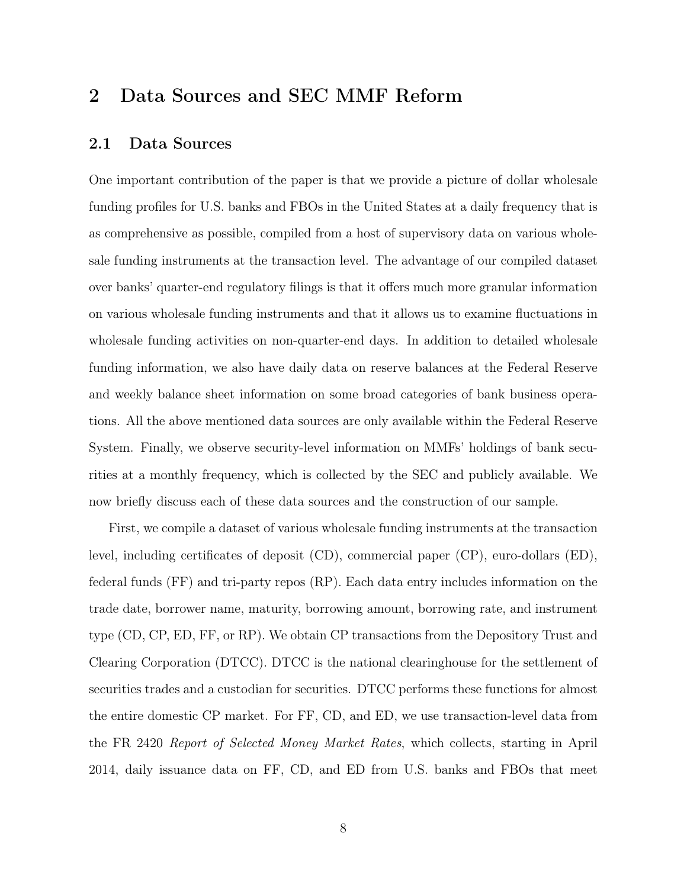# 2 Data Sources and SEC MMF Reform

### 2.1 Data Sources

One important contribution of the paper is that we provide a picture of dollar wholesale funding profiles for U.S. banks and FBOs in the United States at a daily frequency that is as comprehensive as possible, compiled from a host of supervisory data on various wholesale funding instruments at the transaction level. The advantage of our compiled dataset over banks' quarter-end regulatory filings is that it offers much more granular information on various wholesale funding instruments and that it allows us to examine fluctuations in wholesale funding activities on non-quarter-end days. In addition to detailed wholesale funding information, we also have daily data on reserve balances at the Federal Reserve and weekly balance sheet information on some broad categories of bank business operations. All the above mentioned data sources are only available within the Federal Reserve System. Finally, we observe security-level information on MMFs' holdings of bank securities at a monthly frequency, which is collected by the SEC and publicly available. We now briefly discuss each of these data sources and the construction of our sample.

First, we compile a dataset of various wholesale funding instruments at the transaction level, including certificates of deposit (CD), commercial paper (CP), euro-dollars (ED), federal funds (FF) and tri-party repos (RP). Each data entry includes information on the trade date, borrower name, maturity, borrowing amount, borrowing rate, and instrument type (CD, CP, ED, FF, or RP). We obtain CP transactions from the Depository Trust and Clearing Corporation (DTCC). DTCC is the national clearinghouse for the settlement of securities trades and a custodian for securities. DTCC performs these functions for almost the entire domestic CP market. For FF, CD, and ED, we use transaction-level data from the FR 2420 Report of Selected Money Market Rates, which collects, starting in April 2014, daily issuance data on FF, CD, and ED from U.S. banks and FBOs that meet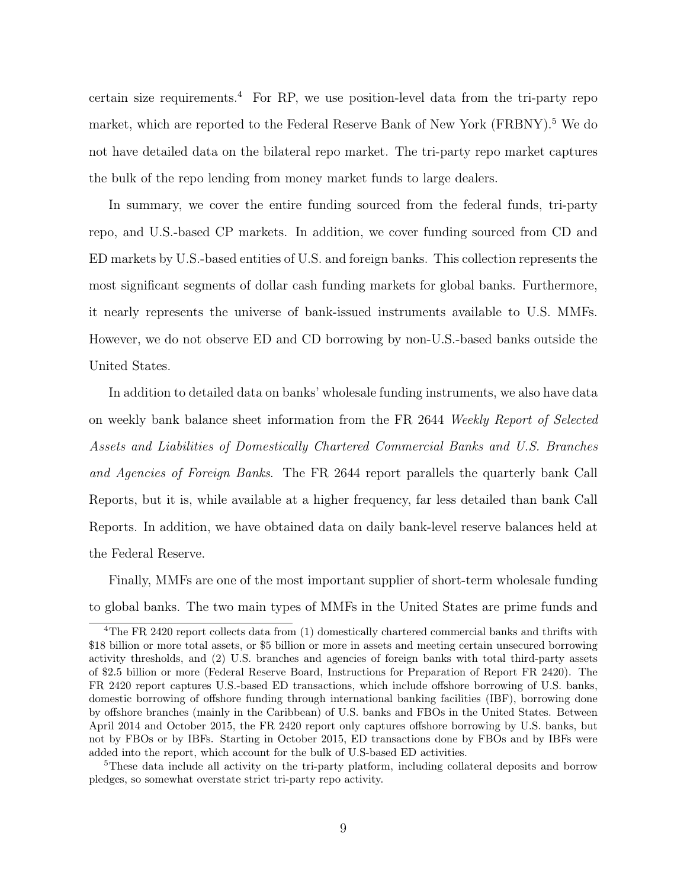certain size requirements.<sup>4</sup> For RP, we use position-level data from the tri-party repo market, which are reported to the Federal Reserve Bank of New York (FRBNY).<sup>5</sup> We do not have detailed data on the bilateral repo market. The tri-party repo market captures the bulk of the repo lending from money market funds to large dealers.

In summary, we cover the entire funding sourced from the federal funds, tri-party repo, and U.S.-based CP markets. In addition, we cover funding sourced from CD and ED markets by U.S.-based entities of U.S. and foreign banks. This collection represents the most significant segments of dollar cash funding markets for global banks. Furthermore, it nearly represents the universe of bank-issued instruments available to U.S. MMFs. However, we do not observe ED and CD borrowing by non-U.S.-based banks outside the United States.

In addition to detailed data on banks' wholesale funding instruments, we also have data on weekly bank balance sheet information from the FR 2644 Weekly Report of Selected Assets and Liabilities of Domestically Chartered Commercial Banks and U.S. Branches and Agencies of Foreign Banks. The FR 2644 report parallels the quarterly bank Call Reports, but it is, while available at a higher frequency, far less detailed than bank Call Reports. In addition, we have obtained data on daily bank-level reserve balances held at the Federal Reserve.

Finally, MMFs are one of the most important supplier of short-term wholesale funding to global banks. The two main types of MMFs in the United States are prime funds and

<sup>&</sup>lt;sup>4</sup>The FR 2420 report collects data from (1) domestically chartered commercial banks and thrifts with \$18 billion or more total assets, or \$5 billion or more in assets and meeting certain unsecured borrowing activity thresholds, and (2) U.S. branches and agencies of foreign banks with total third-party assets of \$2.5 billion or more (Federal Reserve Board, Instructions for Preparation of Report FR 2420). The FR 2420 report captures U.S.-based ED transactions, which include offshore borrowing of U.S. banks, domestic borrowing of offshore funding through international banking facilities (IBF), borrowing done by offshore branches (mainly in the Caribbean) of U.S. banks and FBOs in the United States. Between April 2014 and October 2015, the FR 2420 report only captures offshore borrowing by U.S. banks, but not by FBOs or by IBFs. Starting in October 2015, ED transactions done by FBOs and by IBFs were added into the report, which account for the bulk of U.S-based ED activities.

<sup>&</sup>lt;sup>5</sup>These data include all activity on the tri-party platform, including collateral deposits and borrow pledges, so somewhat overstate strict tri-party repo activity.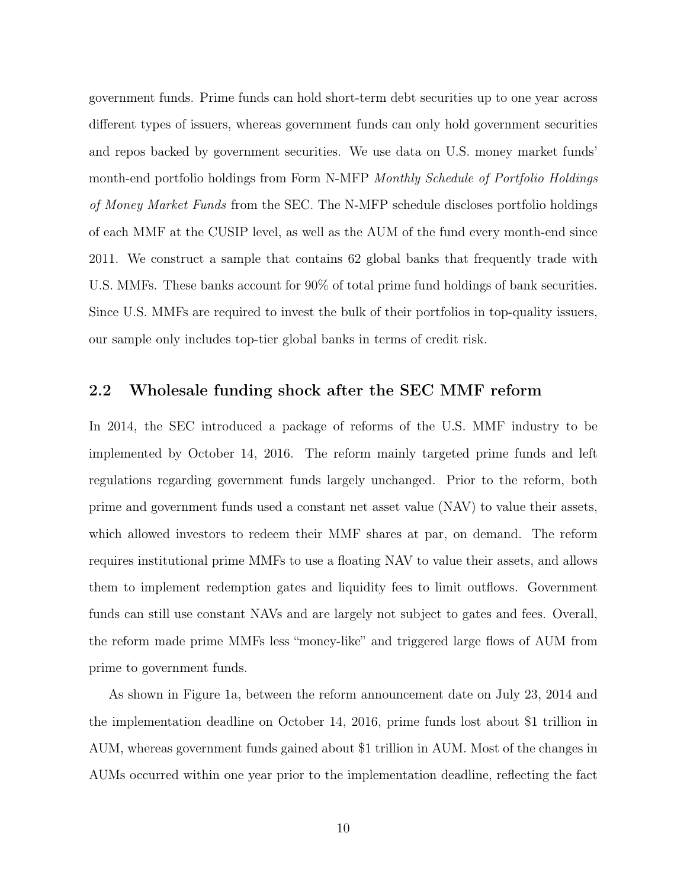government funds. Prime funds can hold short-term debt securities up to one year across different types of issuers, whereas government funds can only hold government securities and repos backed by government securities. We use data on U.S. money market funds' month-end portfolio holdings from Form N-MFP Monthly Schedule of Portfolio Holdings of Money Market Funds from the SEC. The N-MFP schedule discloses portfolio holdings of each MMF at the CUSIP level, as well as the AUM of the fund every month-end since 2011. We construct a sample that contains 62 global banks that frequently trade with U.S. MMFs. These banks account for 90% of total prime fund holdings of bank securities. Since U.S. MMFs are required to invest the bulk of their portfolios in top-quality issuers, our sample only includes top-tier global banks in terms of credit risk.

### 2.2 Wholesale funding shock after the SEC MMF reform

In 2014, the SEC introduced a package of reforms of the U.S. MMF industry to be implemented by October 14, 2016. The reform mainly targeted prime funds and left regulations regarding government funds largely unchanged. Prior to the reform, both prime and government funds used a constant net asset value (NAV) to value their assets, which allowed investors to redeem their MMF shares at par, on demand. The reform requires institutional prime MMFs to use a floating NAV to value their assets, and allows them to implement redemption gates and liquidity fees to limit outflows. Government funds can still use constant NAVs and are largely not subject to gates and fees. Overall, the reform made prime MMFs less "money-like" and triggered large flows of AUM from prime to government funds.

As shown in Figure 1a, between the reform announcement date on July 23, 2014 and the implementation deadline on October 14, 2016, prime funds lost about \$1 trillion in AUM, whereas government funds gained about \$1 trillion in AUM. Most of the changes in AUMs occurred within one year prior to the implementation deadline, reflecting the fact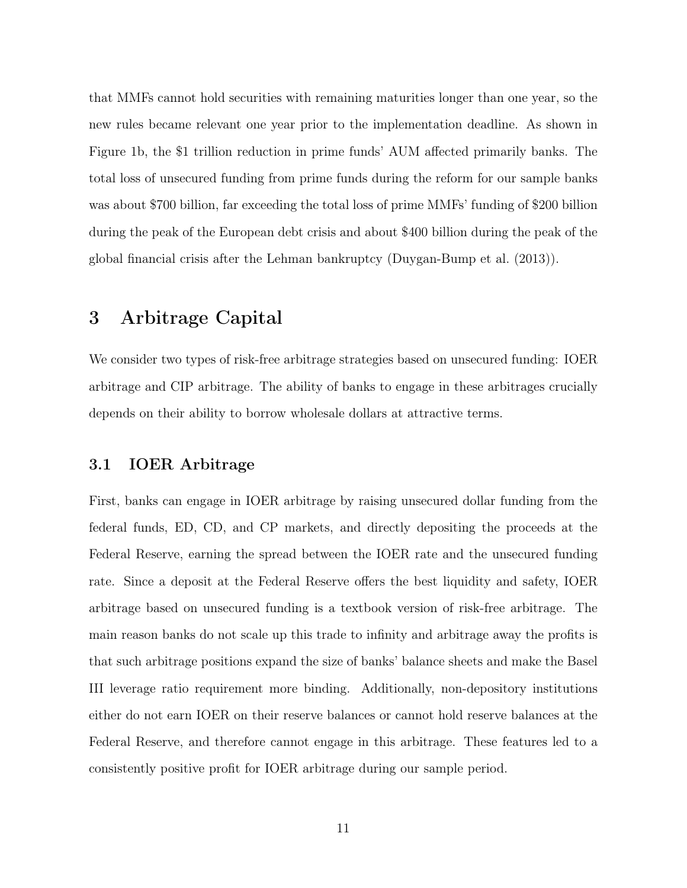that MMFs cannot hold securities with remaining maturities longer than one year, so the new rules became relevant one year prior to the implementation deadline. As shown in Figure 1b, the \$1 trillion reduction in prime funds' AUM affected primarily banks. The total loss of unsecured funding from prime funds during the reform for our sample banks was about \$700 billion, far exceeding the total loss of prime MMFs' funding of \$200 billion during the peak of the European debt crisis and about \$400 billion during the peak of the global financial crisis after the Lehman bankruptcy (Duygan-Bump et al. (2013)).

# 3 Arbitrage Capital

We consider two types of risk-free arbitrage strategies based on unsecured funding: IOER arbitrage and CIP arbitrage. The ability of banks to engage in these arbitrages crucially depends on their ability to borrow wholesale dollars at attractive terms.

### 3.1 IOER Arbitrage

First, banks can engage in IOER arbitrage by raising unsecured dollar funding from the federal funds, ED, CD, and CP markets, and directly depositing the proceeds at the Federal Reserve, earning the spread between the IOER rate and the unsecured funding rate. Since a deposit at the Federal Reserve offers the best liquidity and safety, IOER arbitrage based on unsecured funding is a textbook version of risk-free arbitrage. The main reason banks do not scale up this trade to infinity and arbitrage away the profits is that such arbitrage positions expand the size of banks' balance sheets and make the Basel III leverage ratio requirement more binding. Additionally, non-depository institutions either do not earn IOER on their reserve balances or cannot hold reserve balances at the Federal Reserve, and therefore cannot engage in this arbitrage. These features led to a consistently positive profit for IOER arbitrage during our sample period.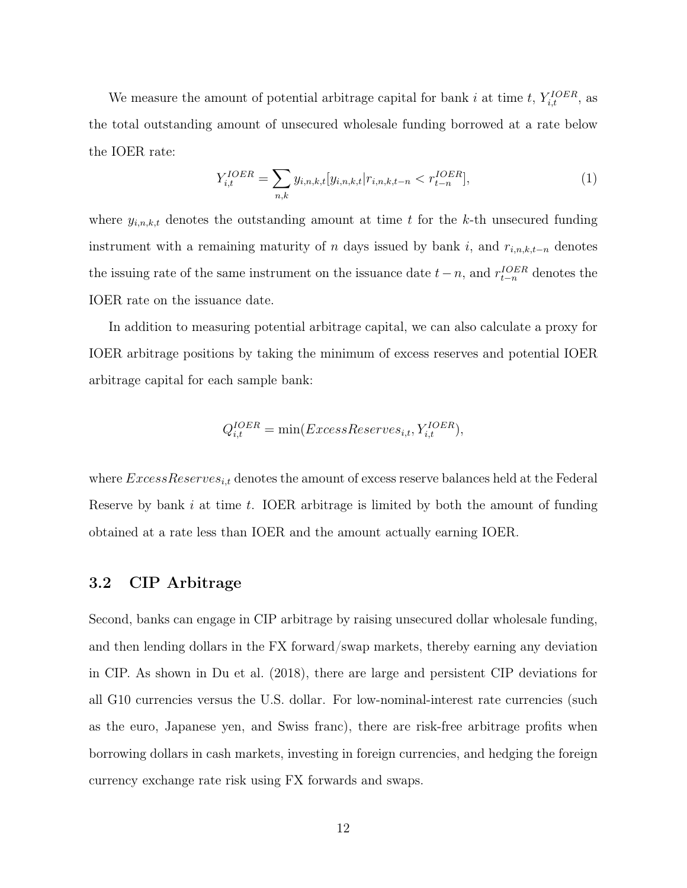We measure the amount of potential arbitrage capital for bank i at time t,  $Y_{i,t}^{IOER}$ , as the total outstanding amount of unsecured wholesale funding borrowed at a rate below the IOER rate:

$$
Y_{i,t}^{IOER} = \sum_{n,k} y_{i,n,k,t} [y_{i,n,k,t} | r_{i,n,k,t-n} < r_{t-n}^{IOER}], \tag{1}
$$

where  $y_{i,n,k,t}$  denotes the outstanding amount at time t for the k-th unsecured funding instrument with a remaining maturity of n days issued by bank i, and  $r_{i,n,k,t-n}$  denotes the issuing rate of the same instrument on the issuance date  $t-n$ , and  $r_{t-n}^{IOER}$  denotes the IOER rate on the issuance date.

In addition to measuring potential arbitrage capital, we can also calculate a proxy for IOER arbitrage positions by taking the minimum of excess reserves and potential IOER arbitrage capital for each sample bank:

$$
Q^{IOER}_{i,t} = \min(ExcessReserves_{i,t}, Y^{IOER}_{i,t}),
$$

where  $ExcessReserves_{i,t}$  denotes the amount of excess reserve balances held at the Federal Reserve by bank  $i$  at time  $t$ . IOER arbitrage is limited by both the amount of funding obtained at a rate less than IOER and the amount actually earning IOER.

#### 3.2 CIP Arbitrage

Second, banks can engage in CIP arbitrage by raising unsecured dollar wholesale funding, and then lending dollars in the FX forward/swap markets, thereby earning any deviation in CIP. As shown in Du et al. (2018), there are large and persistent CIP deviations for all G10 currencies versus the U.S. dollar. For low-nominal-interest rate currencies (such as the euro, Japanese yen, and Swiss franc), there are risk-free arbitrage profits when borrowing dollars in cash markets, investing in foreign currencies, and hedging the foreign currency exchange rate risk using FX forwards and swaps.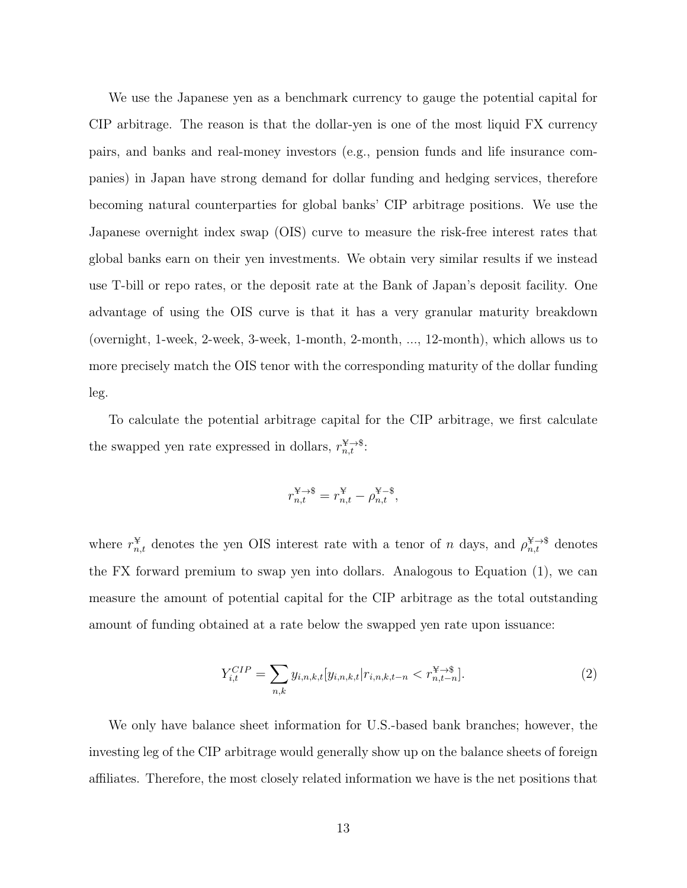We use the Japanese yen as a benchmark currency to gauge the potential capital for CIP arbitrage. The reason is that the dollar-yen is one of the most liquid FX currency pairs, and banks and real-money investors (e.g., pension funds and life insurance companies) in Japan have strong demand for dollar funding and hedging services, therefore becoming natural counterparties for global banks' CIP arbitrage positions. We use the Japanese overnight index swap (OIS) curve to measure the risk-free interest rates that global banks earn on their yen investments. We obtain very similar results if we instead use T-bill or repo rates, or the deposit rate at the Bank of Japan's deposit facility. One advantage of using the OIS curve is that it has a very granular maturity breakdown (overnight, 1-week, 2-week, 3-week, 1-month, 2-month, ..., 12-month), which allows us to more precisely match the OIS tenor with the corresponding maturity of the dollar funding leg.

To calculate the potential arbitrage capital for the CIP arbitrage, we first calculate the swapped yen rate expressed in dollars,  $r_{n,t}^{\mathcal{X}\rightarrow\mathcal{S}}$ :

$$
r_{n,t}^{\mathcal{X}\to\mathsf{\$}}=r_{n,t}^{\mathcal{Y}}-\rho_{n,t}^{\mathcal{Y}-\mathsf{\$}},
$$

where  $r_{n,t}^{\mathcal{F}}$  denotes the yen OIS interest rate with a tenor of n days, and  $\rho_{n,t}^{\mathcal{F}\to\mathcal{S}}$  denotes the FX forward premium to swap yen into dollars. Analogous to Equation (1), we can measure the amount of potential capital for the CIP arbitrage as the total outstanding amount of funding obtained at a rate below the swapped yen rate upon issuance:

$$
Y_{i,t}^{CIP} = \sum_{n,k} y_{i,n,k,t} [y_{i,n,k,t} | r_{i,n,k,t-n} < r_{n,t-n}^{\mathcal{X} \to \mathcal{S}}]. \tag{2}
$$

We only have balance sheet information for U.S.-based bank branches; however, the investing leg of the CIP arbitrage would generally show up on the balance sheets of foreign affiliates. Therefore, the most closely related information we have is the net positions that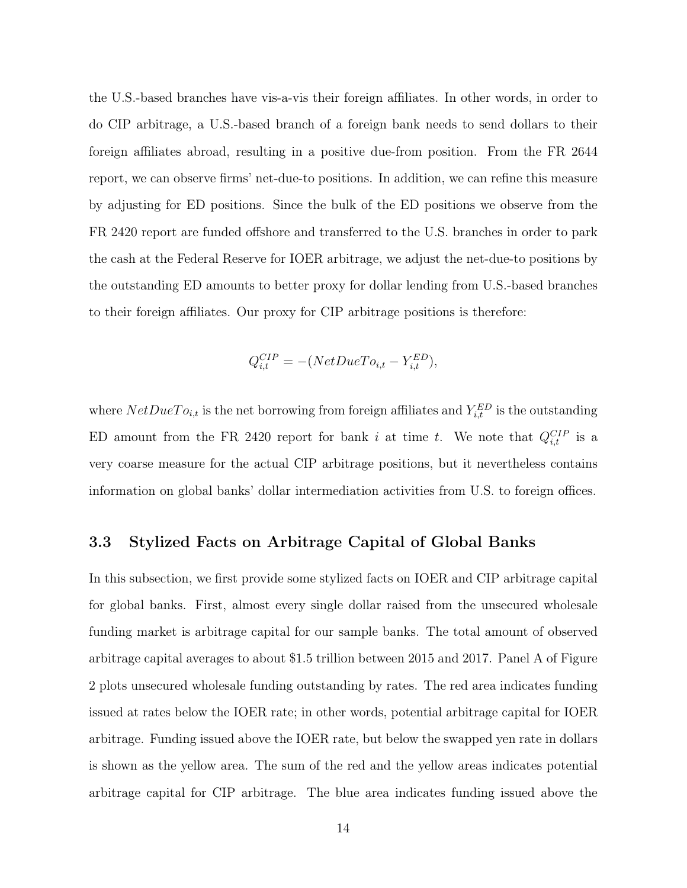the U.S.-based branches have vis-a-vis their foreign affiliates. In other words, in order to do CIP arbitrage, a U.S.-based branch of a foreign bank needs to send dollars to their foreign affiliates abroad, resulting in a positive due-from position. From the FR 2644 report, we can observe firms' net-due-to positions. In addition, we can refine this measure by adjusting for ED positions. Since the bulk of the ED positions we observe from the FR 2420 report are funded offshore and transferred to the U.S. branches in order to park the cash at the Federal Reserve for IOER arbitrage, we adjust the net-due-to positions by the outstanding ED amounts to better proxy for dollar lending from U.S.-based branches to their foreign affiliates. Our proxy for CIP arbitrage positions is therefore:

$$
Q_{i,t}^{CIP} = -(NetDueTo_{i,t} - Y_{i,t}^{ED}),
$$

where  $NetDueTo_{i,t}$  is the net borrowing from foreign affiliates and  $Y_{i,t}^{ED}$  is the outstanding ED amount from the FR 2420 report for bank i at time t. We note that  $Q_{i,t}^{CIP}$  is a very coarse measure for the actual CIP arbitrage positions, but it nevertheless contains information on global banks' dollar intermediation activities from U.S. to foreign offices.

### 3.3 Stylized Facts on Arbitrage Capital of Global Banks

In this subsection, we first provide some stylized facts on IOER and CIP arbitrage capital for global banks. First, almost every single dollar raised from the unsecured wholesale funding market is arbitrage capital for our sample banks. The total amount of observed arbitrage capital averages to about \$1.5 trillion between 2015 and 2017. Panel A of Figure 2 plots unsecured wholesale funding outstanding by rates. The red area indicates funding issued at rates below the IOER rate; in other words, potential arbitrage capital for IOER arbitrage. Funding issued above the IOER rate, but below the swapped yen rate in dollars is shown as the yellow area. The sum of the red and the yellow areas indicates potential arbitrage capital for CIP arbitrage. The blue area indicates funding issued above the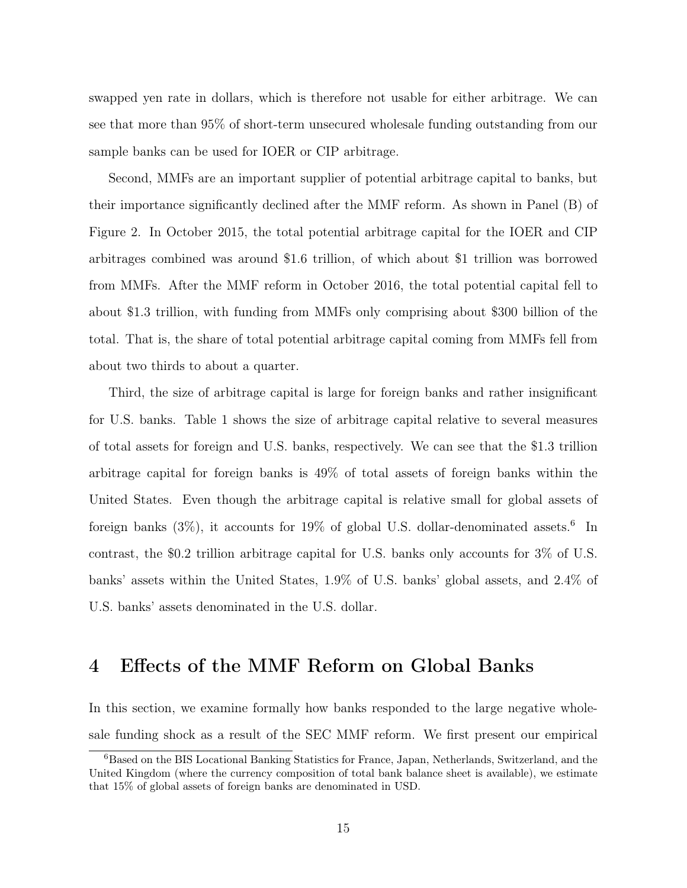swapped yen rate in dollars, which is therefore not usable for either arbitrage. We can see that more than 95% of short-term unsecured wholesale funding outstanding from our sample banks can be used for IOER or CIP arbitrage.

Second, MMFs are an important supplier of potential arbitrage capital to banks, but their importance significantly declined after the MMF reform. As shown in Panel (B) of Figure 2. In October 2015, the total potential arbitrage capital for the IOER and CIP arbitrages combined was around \$1.6 trillion, of which about \$1 trillion was borrowed from MMFs. After the MMF reform in October 2016, the total potential capital fell to about \$1.3 trillion, with funding from MMFs only comprising about \$300 billion of the total. That is, the share of total potential arbitrage capital coming from MMFs fell from about two thirds to about a quarter.

Third, the size of arbitrage capital is large for foreign banks and rather insignificant for U.S. banks. Table 1 shows the size of arbitrage capital relative to several measures of total assets for foreign and U.S. banks, respectively. We can see that the \$1.3 trillion arbitrage capital for foreign banks is 49% of total assets of foreign banks within the United States. Even though the arbitrage capital is relative small for global assets of foreign banks  $(3\%)$ , it accounts for 19% of global U.S. dollar-denominated assets.<sup>6</sup> In contrast, the \$0.2 trillion arbitrage capital for U.S. banks only accounts for 3% of U.S. banks' assets within the United States, 1.9% of U.S. banks' global assets, and 2.4% of U.S. banks' assets denominated in the U.S. dollar.

## 4 Effects of the MMF Reform on Global Banks

In this section, we examine formally how banks responded to the large negative wholesale funding shock as a result of the SEC MMF reform. We first present our empirical

<sup>6</sup>Based on the BIS Locational Banking Statistics for France, Japan, Netherlands, Switzerland, and the United Kingdom (where the currency composition of total bank balance sheet is available), we estimate that 15% of global assets of foreign banks are denominated in USD.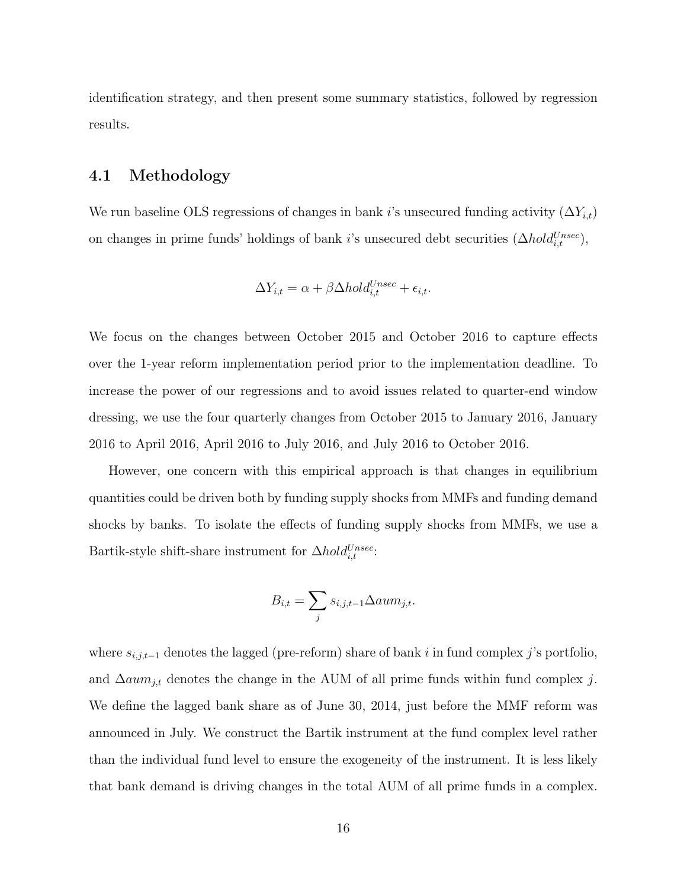identification strategy, and then present some summary statistics, followed by regression results.

### 4.1 Methodology

We run baseline OLS regressions of changes in bank i's unsecured funding activity  $(\Delta Y_{i,t})$ on changes in prime funds' holdings of bank *i*'s unsecured debt securities  $(\Delta hold_{i,t}^{Unsec})$ ,

$$
\Delta Y_{i,t} = \alpha + \beta \Delta hold_{i,t}^{Unsec} + \epsilon_{i,t}.
$$

We focus on the changes between October 2015 and October 2016 to capture effects over the 1-year reform implementation period prior to the implementation deadline. To increase the power of our regressions and to avoid issues related to quarter-end window dressing, we use the four quarterly changes from October 2015 to January 2016, January 2016 to April 2016, April 2016 to July 2016, and July 2016 to October 2016.

However, one concern with this empirical approach is that changes in equilibrium quantities could be driven both by funding supply shocks from MMFs and funding demand shocks by banks. To isolate the effects of funding supply shocks from MMFs, we use a Bartik-style shift-share instrument for  $\Delta hold_{i,t}^{Unsec}$ .

$$
B_{i,t} = \sum_{j} s_{i,j,t-1} \Delta a u m_{j,t}.
$$

where  $s_{i,j,t-1}$  denotes the lagged (pre-reform) share of bank i in fund complex j's portfolio, and  $\Delta a u m_{j,t}$  denotes the change in the AUM of all prime funds within fund complex j. We define the lagged bank share as of June 30, 2014, just before the MMF reform was announced in July. We construct the Bartik instrument at the fund complex level rather than the individual fund level to ensure the exogeneity of the instrument. It is less likely that bank demand is driving changes in the total AUM of all prime funds in a complex.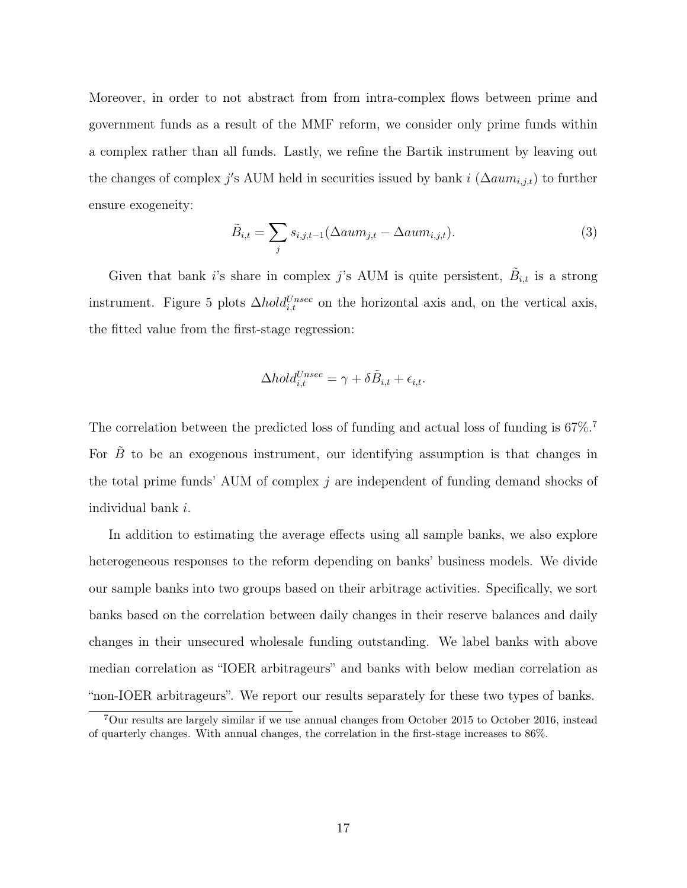Moreover, in order to not abstract from from intra-complex flows between prime and government funds as a result of the MMF reform, we consider only prime funds within a complex rather than all funds. Lastly, we refine the Bartik instrument by leaving out the changes of complex j's AUM held in securities issued by bank i  $(\Delta a u m_{i,j,t})$  to further ensure exogeneity:

$$
\tilde{B}_{i,t} = \sum_{j} s_{i,j,t-1} (\Delta aum_{j,t} - \Delta aum_{i,j,t}). \tag{3}
$$

Given that bank i's share in complex j's AUM is quite persistent,  $\tilde{B}_{i,t}$  is a strong instrument. Figure 5 plots  $\Delta hold_{i,t}^{Unsec}$  on the horizontal axis and, on the vertical axis, the fitted value from the first-stage regression:

$$
\Delta hold_{i,t}^{Unsec} = \gamma + \delta \tilde{B}_{i,t} + \epsilon_{i,t}.
$$

The correlation between the predicted loss of funding and actual loss of funding is  $67\%$ .<sup>7</sup> For  $\tilde{B}$  to be an exogenous instrument, our identifying assumption is that changes in the total prime funds' AUM of complex j are independent of funding demand shocks of individual bank i.

In addition to estimating the average effects using all sample banks, we also explore heterogeneous responses to the reform depending on banks' business models. We divide our sample banks into two groups based on their arbitrage activities. Specifically, we sort banks based on the correlation between daily changes in their reserve balances and daily changes in their unsecured wholesale funding outstanding. We label banks with above median correlation as "IOER arbitrageurs" and banks with below median correlation as "non-IOER arbitrageurs". We report our results separately for these two types of banks.

<sup>7</sup>Our results are largely similar if we use annual changes from October 2015 to October 2016, instead of quarterly changes. With annual changes, the correlation in the first-stage increases to 86%.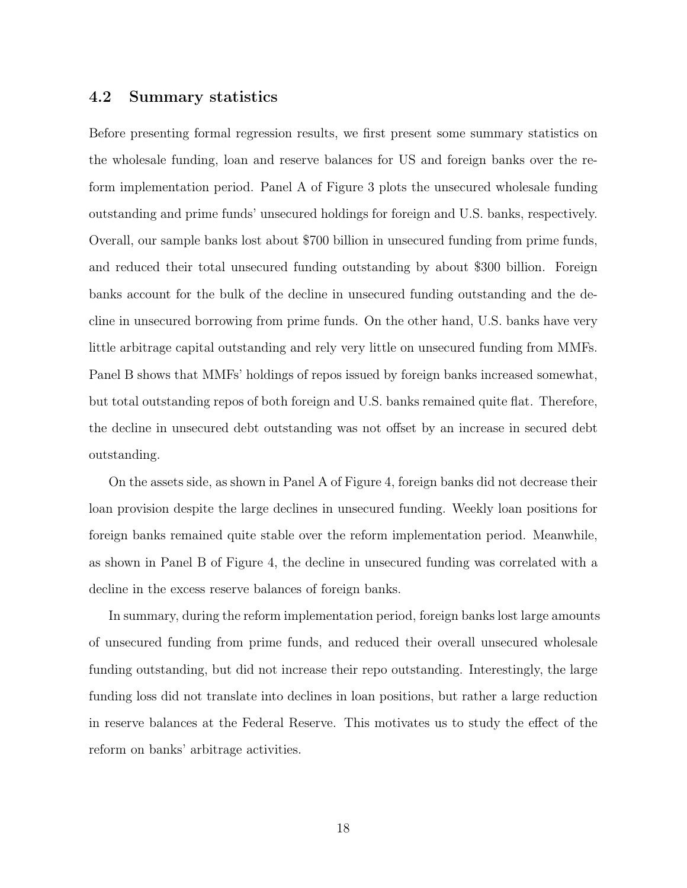### 4.2 Summary statistics

Before presenting formal regression results, we first present some summary statistics on the wholesale funding, loan and reserve balances for US and foreign banks over the reform implementation period. Panel A of Figure 3 plots the unsecured wholesale funding outstanding and prime funds' unsecured holdings for foreign and U.S. banks, respectively. Overall, our sample banks lost about \$700 billion in unsecured funding from prime funds, and reduced their total unsecured funding outstanding by about \$300 billion. Foreign banks account for the bulk of the decline in unsecured funding outstanding and the decline in unsecured borrowing from prime funds. On the other hand, U.S. banks have very little arbitrage capital outstanding and rely very little on unsecured funding from MMFs. Panel B shows that MMFs' holdings of repos issued by foreign banks increased somewhat, but total outstanding repos of both foreign and U.S. banks remained quite flat. Therefore, the decline in unsecured debt outstanding was not offset by an increase in secured debt outstanding.

On the assets side, as shown in Panel A of Figure 4, foreign banks did not decrease their loan provision despite the large declines in unsecured funding. Weekly loan positions for foreign banks remained quite stable over the reform implementation period. Meanwhile, as shown in Panel B of Figure 4, the decline in unsecured funding was correlated with a decline in the excess reserve balances of foreign banks.

In summary, during the reform implementation period, foreign banks lost large amounts of unsecured funding from prime funds, and reduced their overall unsecured wholesale funding outstanding, but did not increase their repo outstanding. Interestingly, the large funding loss did not translate into declines in loan positions, but rather a large reduction in reserve balances at the Federal Reserve. This motivates us to study the effect of the reform on banks' arbitrage activities.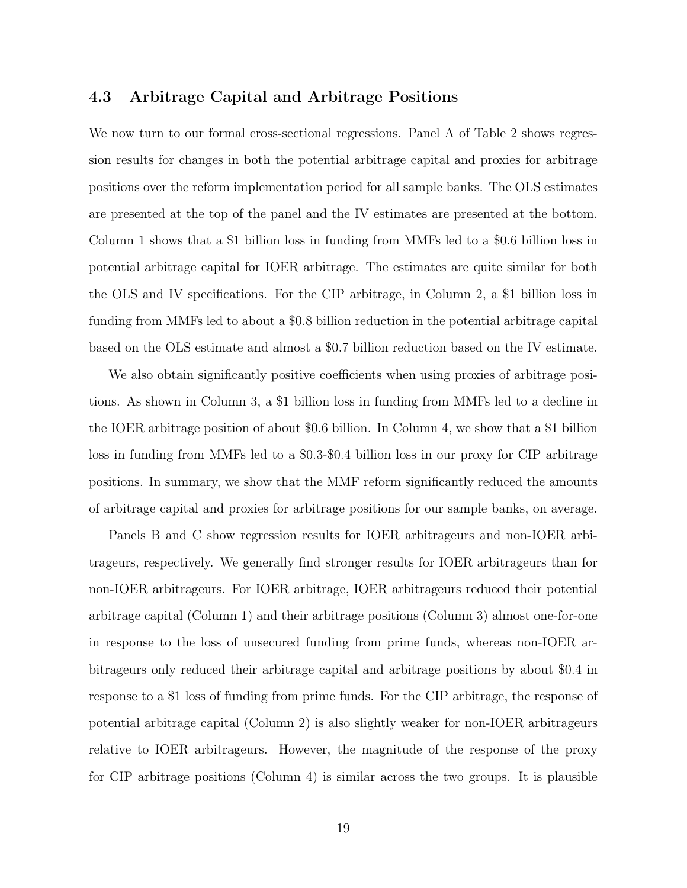### 4.3 Arbitrage Capital and Arbitrage Positions

We now turn to our formal cross-sectional regressions. Panel A of Table 2 shows regression results for changes in both the potential arbitrage capital and proxies for arbitrage positions over the reform implementation period for all sample banks. The OLS estimates are presented at the top of the panel and the IV estimates are presented at the bottom. Column 1 shows that a \$1 billion loss in funding from MMFs led to a \$0.6 billion loss in potential arbitrage capital for IOER arbitrage. The estimates are quite similar for both the OLS and IV specifications. For the CIP arbitrage, in Column 2, a \$1 billion loss in funding from MMFs led to about a \$0.8 billion reduction in the potential arbitrage capital based on the OLS estimate and almost a \$0.7 billion reduction based on the IV estimate.

We also obtain significantly positive coefficients when using proxies of arbitrage positions. As shown in Column 3, a \$1 billion loss in funding from MMFs led to a decline in the IOER arbitrage position of about \$0.6 billion. In Column 4, we show that a \$1 billion loss in funding from MMFs led to a \$0.3-\$0.4 billion loss in our proxy for CIP arbitrage positions. In summary, we show that the MMF reform significantly reduced the amounts of arbitrage capital and proxies for arbitrage positions for our sample banks, on average.

Panels B and C show regression results for IOER arbitrageurs and non-IOER arbitrageurs, respectively. We generally find stronger results for IOER arbitrageurs than for non-IOER arbitrageurs. For IOER arbitrage, IOER arbitrageurs reduced their potential arbitrage capital (Column 1) and their arbitrage positions (Column 3) almost one-for-one in response to the loss of unsecured funding from prime funds, whereas non-IOER arbitrageurs only reduced their arbitrage capital and arbitrage positions by about \$0.4 in response to a \$1 loss of funding from prime funds. For the CIP arbitrage, the response of potential arbitrage capital (Column 2) is also slightly weaker for non-IOER arbitrageurs relative to IOER arbitrageurs. However, the magnitude of the response of the proxy for CIP arbitrage positions (Column 4) is similar across the two groups. It is plausible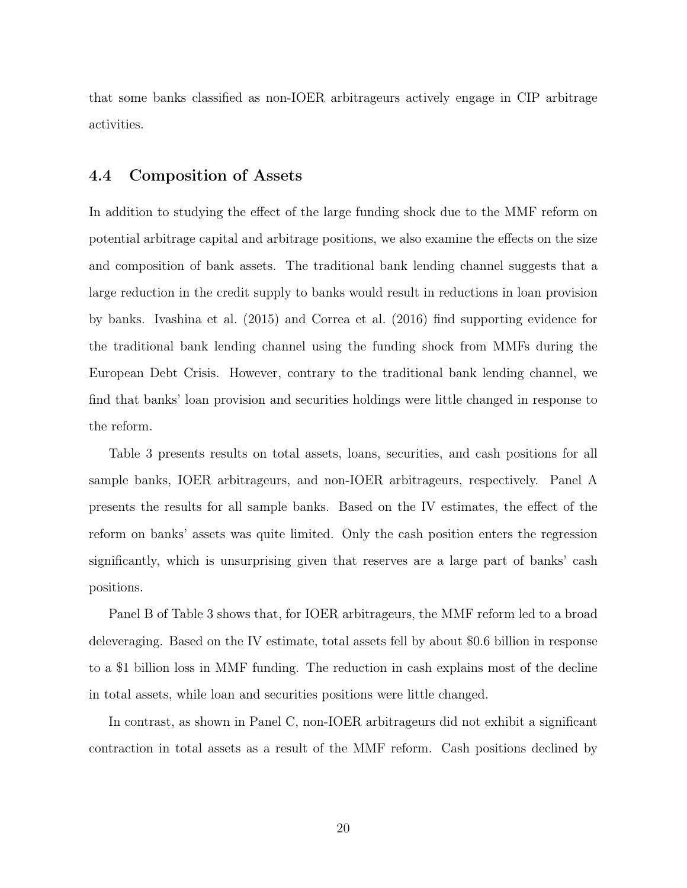that some banks classified as non-IOER arbitrageurs actively engage in CIP arbitrage activities.

### 4.4 Composition of Assets

In addition to studying the effect of the large funding shock due to the MMF reform on potential arbitrage capital and arbitrage positions, we also examine the effects on the size and composition of bank assets. The traditional bank lending channel suggests that a large reduction in the credit supply to banks would result in reductions in loan provision by banks. Ivashina et al. (2015) and Correa et al. (2016) find supporting evidence for the traditional bank lending channel using the funding shock from MMFs during the European Debt Crisis. However, contrary to the traditional bank lending channel, we find that banks' loan provision and securities holdings were little changed in response to the reform.

Table 3 presents results on total assets, loans, securities, and cash positions for all sample banks, IOER arbitrageurs, and non-IOER arbitrageurs, respectively. Panel A presents the results for all sample banks. Based on the IV estimates, the effect of the reform on banks' assets was quite limited. Only the cash position enters the regression significantly, which is unsurprising given that reserves are a large part of banks' cash positions.

Panel B of Table 3 shows that, for IOER arbitrageurs, the MMF reform led to a broad deleveraging. Based on the IV estimate, total assets fell by about \$0.6 billion in response to a \$1 billion loss in MMF funding. The reduction in cash explains most of the decline in total assets, while loan and securities positions were little changed.

In contrast, as shown in Panel C, non-IOER arbitrageurs did not exhibit a significant contraction in total assets as a result of the MMF reform. Cash positions declined by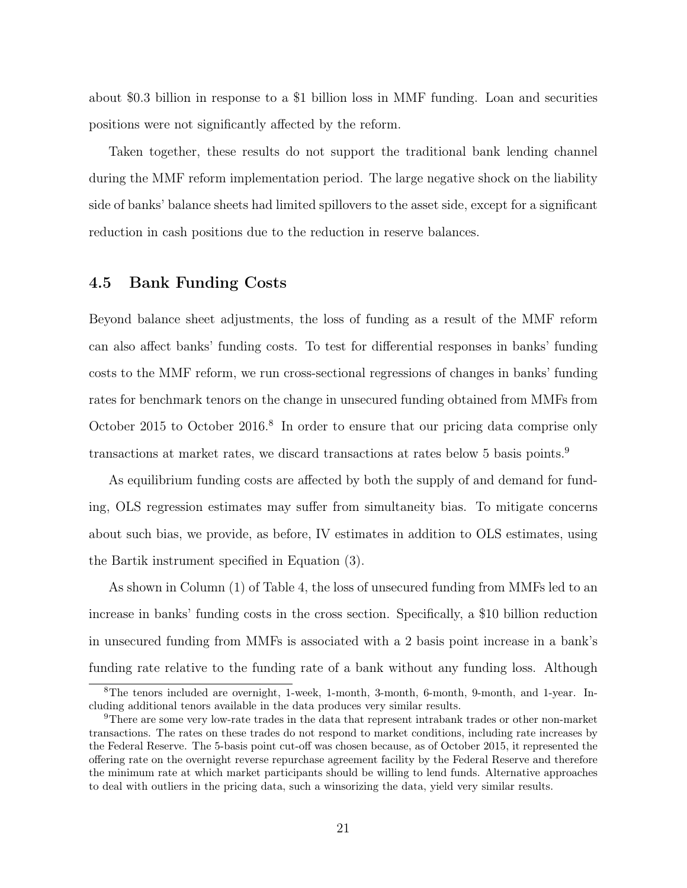about \$0.3 billion in response to a \$1 billion loss in MMF funding. Loan and securities positions were not significantly affected by the reform.

Taken together, these results do not support the traditional bank lending channel during the MMF reform implementation period. The large negative shock on the liability side of banks' balance sheets had limited spillovers to the asset side, except for a significant reduction in cash positions due to the reduction in reserve balances.

### 4.5 Bank Funding Costs

Beyond balance sheet adjustments, the loss of funding as a result of the MMF reform can also affect banks' funding costs. To test for differential responses in banks' funding costs to the MMF reform, we run cross-sectional regressions of changes in banks' funding rates for benchmark tenors on the change in unsecured funding obtained from MMFs from October 2015 to October 2016.<sup>8</sup> In order to ensure that our pricing data comprise only transactions at market rates, we discard transactions at rates below 5 basis points.<sup>9</sup>

As equilibrium funding costs are affected by both the supply of and demand for funding, OLS regression estimates may suffer from simultaneity bias. To mitigate concerns about such bias, we provide, as before, IV estimates in addition to OLS estimates, using the Bartik instrument specified in Equation (3).

As shown in Column (1) of Table 4, the loss of unsecured funding from MMFs led to an increase in banks' funding costs in the cross section. Specifically, a \$10 billion reduction in unsecured funding from MMFs is associated with a 2 basis point increase in a bank's funding rate relative to the funding rate of a bank without any funding loss. Although

<sup>8</sup>The tenors included are overnight, 1-week, 1-month, 3-month, 6-month, 9-month, and 1-year. Including additional tenors available in the data produces very similar results.

<sup>9</sup>There are some very low-rate trades in the data that represent intrabank trades or other non-market transactions. The rates on these trades do not respond to market conditions, including rate increases by the Federal Reserve. The 5-basis point cut-off was chosen because, as of October 2015, it represented the offering rate on the overnight reverse repurchase agreement facility by the Federal Reserve and therefore the minimum rate at which market participants should be willing to lend funds. Alternative approaches to deal with outliers in the pricing data, such a winsorizing the data, yield very similar results.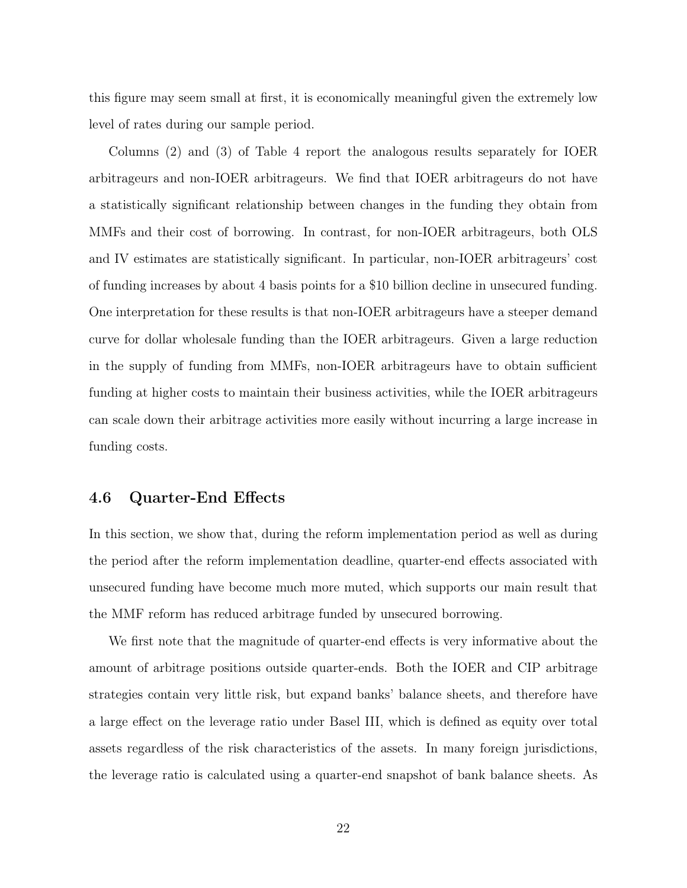this figure may seem small at first, it is economically meaningful given the extremely low level of rates during our sample period.

Columns (2) and (3) of Table 4 report the analogous results separately for IOER arbitrageurs and non-IOER arbitrageurs. We find that IOER arbitrageurs do not have a statistically significant relationship between changes in the funding they obtain from MMFs and their cost of borrowing. In contrast, for non-IOER arbitrageurs, both OLS and IV estimates are statistically significant. In particular, non-IOER arbitrageurs' cost of funding increases by about 4 basis points for a \$10 billion decline in unsecured funding. One interpretation for these results is that non-IOER arbitrageurs have a steeper demand curve for dollar wholesale funding than the IOER arbitrageurs. Given a large reduction in the supply of funding from MMFs, non-IOER arbitrageurs have to obtain sufficient funding at higher costs to maintain their business activities, while the IOER arbitrageurs can scale down their arbitrage activities more easily without incurring a large increase in funding costs.

### 4.6 Quarter-End Effects

In this section, we show that, during the reform implementation period as well as during the period after the reform implementation deadline, quarter-end effects associated with unsecured funding have become much more muted, which supports our main result that the MMF reform has reduced arbitrage funded by unsecured borrowing.

We first note that the magnitude of quarter-end effects is very informative about the amount of arbitrage positions outside quarter-ends. Both the IOER and CIP arbitrage strategies contain very little risk, but expand banks' balance sheets, and therefore have a large effect on the leverage ratio under Basel III, which is defined as equity over total assets regardless of the risk characteristics of the assets. In many foreign jurisdictions, the leverage ratio is calculated using a quarter-end snapshot of bank balance sheets. As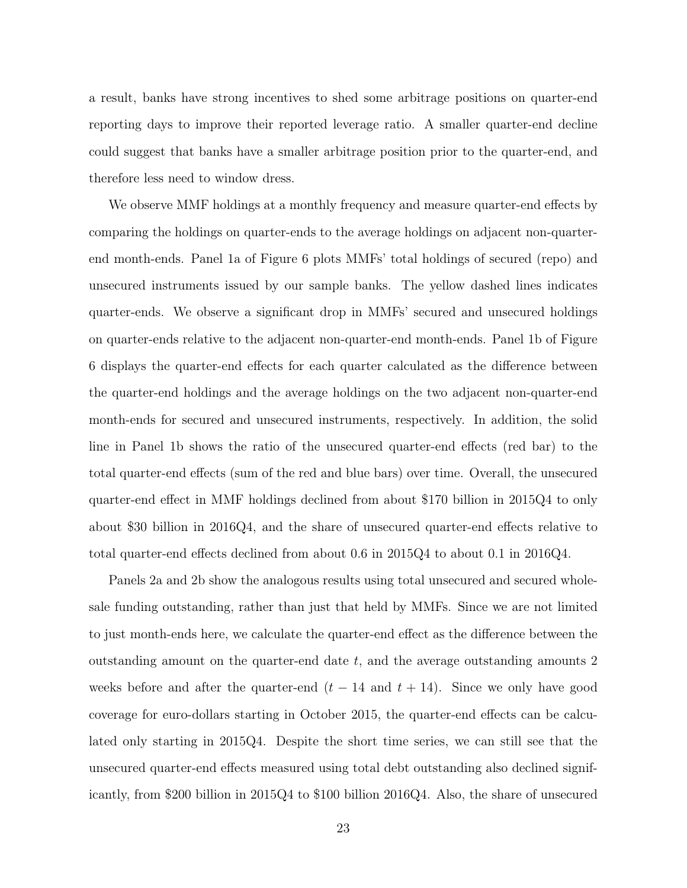a result, banks have strong incentives to shed some arbitrage positions on quarter-end reporting days to improve their reported leverage ratio. A smaller quarter-end decline could suggest that banks have a smaller arbitrage position prior to the quarter-end, and therefore less need to window dress.

We observe MMF holdings at a monthly frequency and measure quarter-end effects by comparing the holdings on quarter-ends to the average holdings on adjacent non-quarterend month-ends. Panel 1a of Figure 6 plots MMFs' total holdings of secured (repo) and unsecured instruments issued by our sample banks. The yellow dashed lines indicates quarter-ends. We observe a significant drop in MMFs' secured and unsecured holdings on quarter-ends relative to the adjacent non-quarter-end month-ends. Panel 1b of Figure 6 displays the quarter-end effects for each quarter calculated as the difference between the quarter-end holdings and the average holdings on the two adjacent non-quarter-end month-ends for secured and unsecured instruments, respectively. In addition, the solid line in Panel 1b shows the ratio of the unsecured quarter-end effects (red bar) to the total quarter-end effects (sum of the red and blue bars) over time. Overall, the unsecured quarter-end effect in MMF holdings declined from about \$170 billion in 2015Q4 to only about \$30 billion in 2016Q4, and the share of unsecured quarter-end effects relative to total quarter-end effects declined from about 0.6 in 2015Q4 to about 0.1 in 2016Q4.

Panels 2a and 2b show the analogous results using total unsecured and secured wholesale funding outstanding, rather than just that held by MMFs. Since we are not limited to just month-ends here, we calculate the quarter-end effect as the difference between the outstanding amount on the quarter-end date  $t$ , and the average outstanding amounts  $2$ weeks before and after the quarter-end  $(t - 14$  and  $t + 14)$ . Since we only have good coverage for euro-dollars starting in October 2015, the quarter-end effects can be calculated only starting in 2015Q4. Despite the short time series, we can still see that the unsecured quarter-end effects measured using total debt outstanding also declined significantly, from \$200 billion in 2015Q4 to \$100 billion 2016Q4. Also, the share of unsecured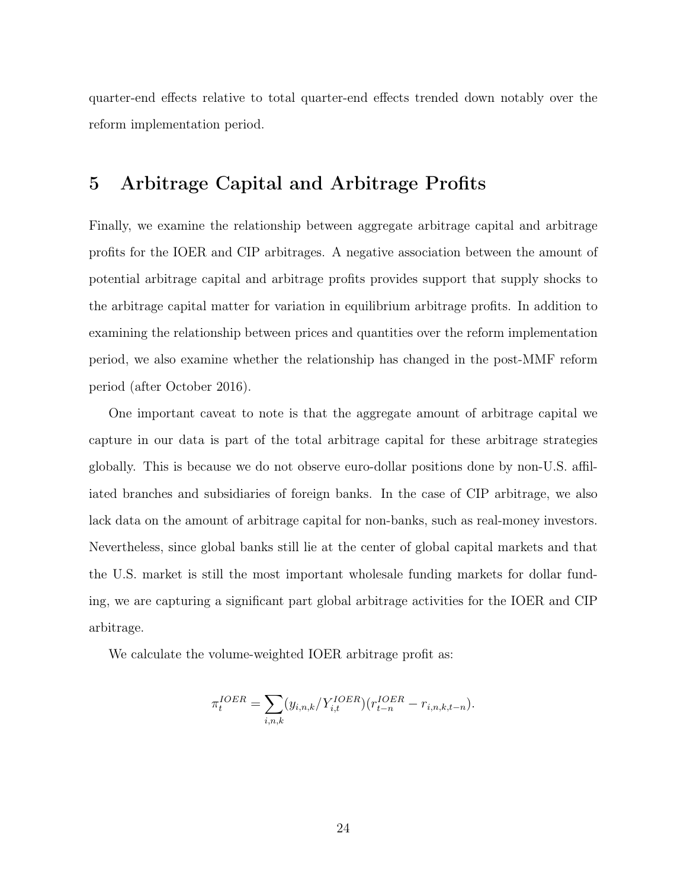quarter-end effects relative to total quarter-end effects trended down notably over the reform implementation period.

## 5 Arbitrage Capital and Arbitrage Profits

Finally, we examine the relationship between aggregate arbitrage capital and arbitrage profits for the IOER and CIP arbitrages. A negative association between the amount of potential arbitrage capital and arbitrage profits provides support that supply shocks to the arbitrage capital matter for variation in equilibrium arbitrage profits. In addition to examining the relationship between prices and quantities over the reform implementation period, we also examine whether the relationship has changed in the post-MMF reform period (after October 2016).

One important caveat to note is that the aggregate amount of arbitrage capital we capture in our data is part of the total arbitrage capital for these arbitrage strategies globally. This is because we do not observe euro-dollar positions done by non-U.S. affiliated branches and subsidiaries of foreign banks. In the case of CIP arbitrage, we also lack data on the amount of arbitrage capital for non-banks, such as real-money investors. Nevertheless, since global banks still lie at the center of global capital markets and that the U.S. market is still the most important wholesale funding markets for dollar funding, we are capturing a significant part global arbitrage activities for the IOER and CIP arbitrage.

We calculate the volume-weighted IOER arbitrage profit as:

$$
\pi_t^{IOER} = \sum_{i,n,k} (y_{i,n,k}/Y_{i,t}^{IOER}) (r_{t-n}^{IOER} - r_{i,n,k,t-n}).
$$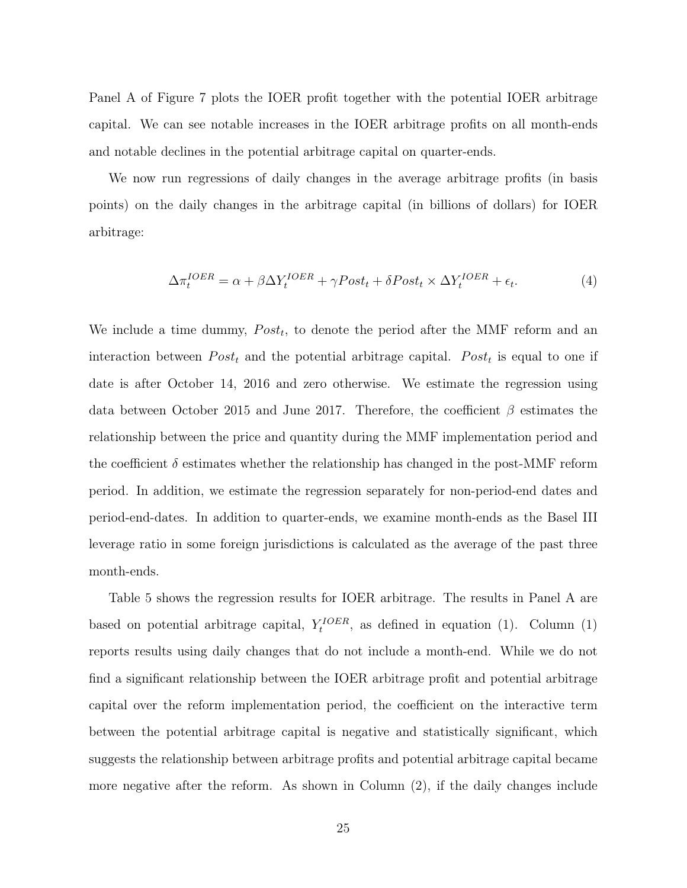Panel A of Figure 7 plots the IOER profit together with the potential IOER arbitrage capital. We can see notable increases in the IOER arbitrage profits on all month-ends and notable declines in the potential arbitrage capital on quarter-ends.

We now run regressions of daily changes in the average arbitrage profits (in basis points) on the daily changes in the arbitrage capital (in billions of dollars) for IOER arbitrage:

$$
\Delta \pi_t^{IOER} = \alpha + \beta \Delta Y_t^{IOER} + \gamma Post_t + \delta Post_t \times \Delta Y_t^{IOER} + \epsilon_t.
$$
\n(4)

We include a time dummy,  $Post_t$ , to denote the period after the MMF reform and an interaction between  $Post<sub>t</sub>$  and the potential arbitrage capital.  $Post<sub>t</sub>$  is equal to one if date is after October 14, 2016 and zero otherwise. We estimate the regression using data between October 2015 and June 2017. Therefore, the coefficient  $\beta$  estimates the relationship between the price and quantity during the MMF implementation period and the coefficient  $\delta$  estimates whether the relationship has changed in the post-MMF reform period. In addition, we estimate the regression separately for non-period-end dates and period-end-dates. In addition to quarter-ends, we examine month-ends as the Basel III leverage ratio in some foreign jurisdictions is calculated as the average of the past three month-ends.

Table 5 shows the regression results for IOER arbitrage. The results in Panel A are based on potential arbitrage capital,  $Y_t^{IOER}$ , as defined in equation (1). Column (1) reports results using daily changes that do not include a month-end. While we do not find a significant relationship between the IOER arbitrage profit and potential arbitrage capital over the reform implementation period, the coefficient on the interactive term between the potential arbitrage capital is negative and statistically significant, which suggests the relationship between arbitrage profits and potential arbitrage capital became more negative after the reform. As shown in Column (2), if the daily changes include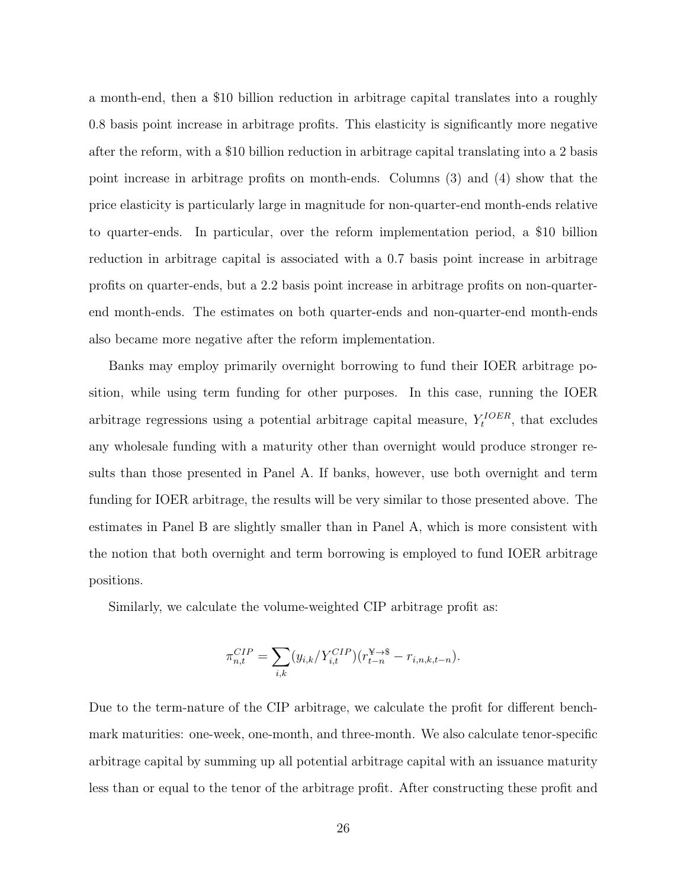a month-end, then a \$10 billion reduction in arbitrage capital translates into a roughly 0.8 basis point increase in arbitrage profits. This elasticity is significantly more negative after the reform, with a \$10 billion reduction in arbitrage capital translating into a 2 basis point increase in arbitrage profits on month-ends. Columns (3) and (4) show that the price elasticity is particularly large in magnitude for non-quarter-end month-ends relative to quarter-ends. In particular, over the reform implementation period, a \$10 billion reduction in arbitrage capital is associated with a 0.7 basis point increase in arbitrage profits on quarter-ends, but a 2.2 basis point increase in arbitrage profits on non-quarterend month-ends. The estimates on both quarter-ends and non-quarter-end month-ends also became more negative after the reform implementation.

Banks may employ primarily overnight borrowing to fund their IOER arbitrage position, while using term funding for other purposes. In this case, running the IOER arbitrage regressions using a potential arbitrage capital measure,  $Y_t^{IOER}$ , that excludes any wholesale funding with a maturity other than overnight would produce stronger results than those presented in Panel A. If banks, however, use both overnight and term funding for IOER arbitrage, the results will be very similar to those presented above. The estimates in Panel B are slightly smaller than in Panel A, which is more consistent with the notion that both overnight and term borrowing is employed to fund IOER arbitrage positions.

Similarly, we calculate the volume-weighted CIP arbitrage profit as:

$$
\pi_{n,t}^{CIP} = \sum_{i,k} (y_{i,k}/Y_{i,t}^{CIP})(r_{t-n}^{Y \to \$} - r_{i,n,k,t-n}).
$$

Due to the term-nature of the CIP arbitrage, we calculate the profit for different benchmark maturities: one-week, one-month, and three-month. We also calculate tenor-specific arbitrage capital by summing up all potential arbitrage capital with an issuance maturity less than or equal to the tenor of the arbitrage profit. After constructing these profit and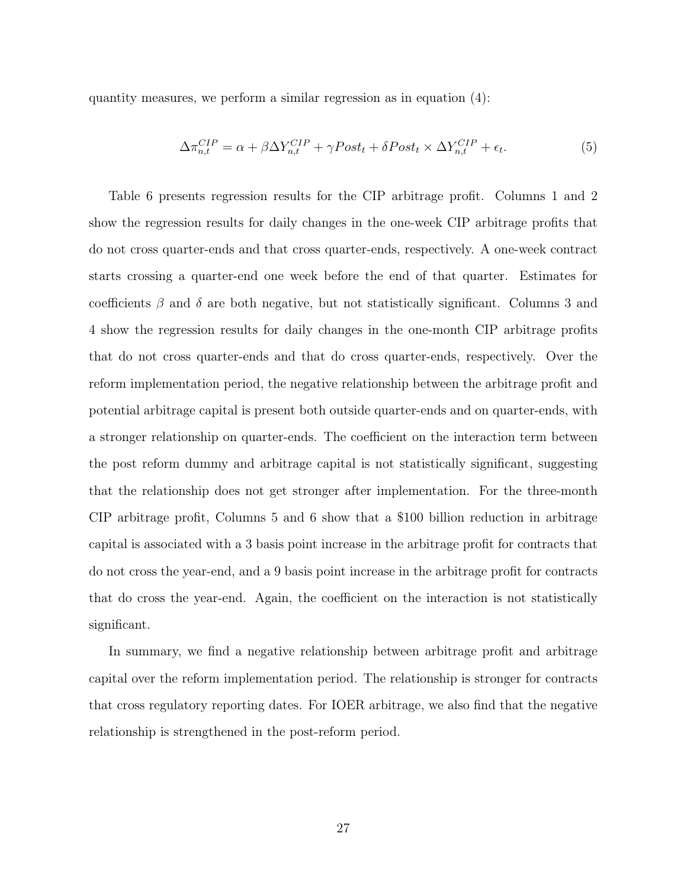quantity measures, we perform a similar regression as in equation (4):

$$
\Delta \pi_{n,t}^{CIP} = \alpha + \beta \Delta Y_{n,t}^{CIP} + \gamma Post_t + \delta Post_t \times \Delta Y_{n,t}^{CIP} + \epsilon_t.
$$
\n
$$
\tag{5}
$$

Table 6 presents regression results for the CIP arbitrage profit. Columns 1 and 2 show the regression results for daily changes in the one-week CIP arbitrage profits that do not cross quarter-ends and that cross quarter-ends, respectively. A one-week contract starts crossing a quarter-end one week before the end of that quarter. Estimates for coefficients  $\beta$  and  $\delta$  are both negative, but not statistically significant. Columns 3 and 4 show the regression results for daily changes in the one-month CIP arbitrage profits that do not cross quarter-ends and that do cross quarter-ends, respectively. Over the reform implementation period, the negative relationship between the arbitrage profit and potential arbitrage capital is present both outside quarter-ends and on quarter-ends, with a stronger relationship on quarter-ends. The coefficient on the interaction term between the post reform dummy and arbitrage capital is not statistically significant, suggesting that the relationship does not get stronger after implementation. For the three-month CIP arbitrage profit, Columns 5 and 6 show that a \$100 billion reduction in arbitrage capital is associated with a 3 basis point increase in the arbitrage profit for contracts that do not cross the year-end, and a 9 basis point increase in the arbitrage profit for contracts that do cross the year-end. Again, the coefficient on the interaction is not statistically significant.

In summary, we find a negative relationship between arbitrage profit and arbitrage capital over the reform implementation period. The relationship is stronger for contracts that cross regulatory reporting dates. For IOER arbitrage, we also find that the negative relationship is strengthened in the post-reform period.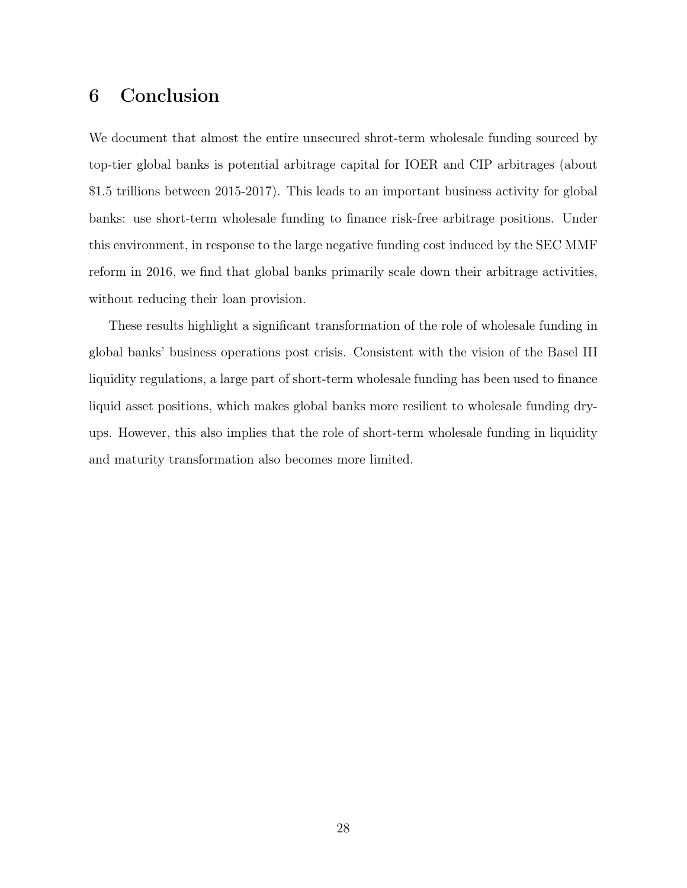# 6 Conclusion

We document that almost the entire unsecured shrot-term wholesale funding sourced by top-tier global banks is potential arbitrage capital for IOER and CIP arbitrages (about \$1.5 trillions between 2015-2017). This leads to an important business activity for global banks: use short-term wholesale funding to finance risk-free arbitrage positions. Under this environment, in response to the large negative funding cost induced by the SEC MMF reform in 2016, we find that global banks primarily scale down their arbitrage activities, without reducing their loan provision.

These results highlight a significant transformation of the role of wholesale funding in global banks' business operations post crisis. Consistent with the vision of the Basel III liquidity regulations, a large part of short-term wholesale funding has been used to finance liquid asset positions, which makes global banks more resilient to wholesale funding dryups. However, this also implies that the role of short-term wholesale funding in liquidity and maturity transformation also becomes more limited.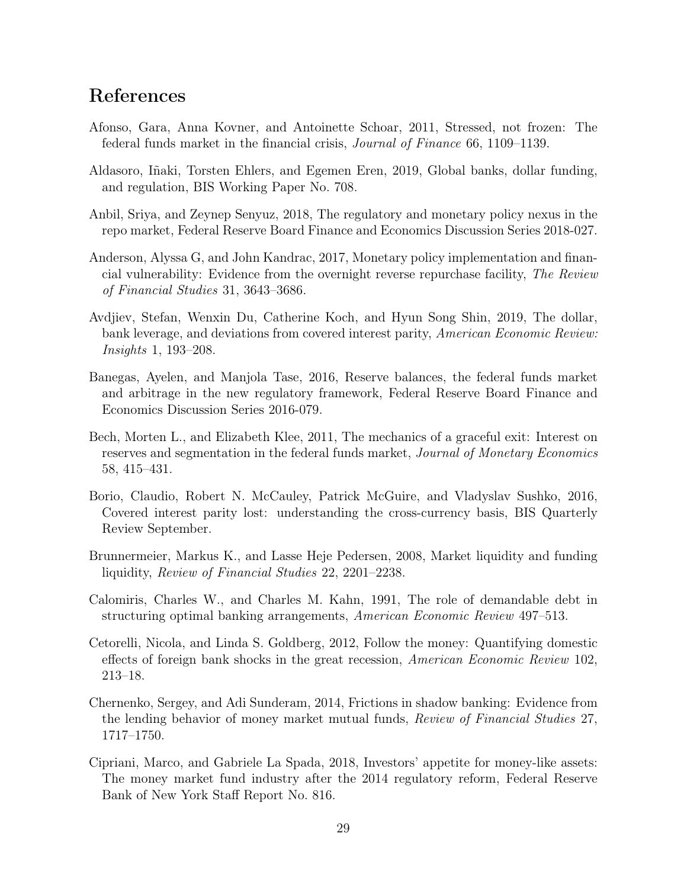# References

- Afonso, Gara, Anna Kovner, and Antoinette Schoar, 2011, Stressed, not frozen: The federal funds market in the financial crisis, Journal of Finance 66, 1109–1139.
- Aldasoro, Iñaki, Torsten Ehlers, and Egemen Eren, 2019, Global banks, dollar funding, and regulation, BIS Working Paper No. 708.
- Anbil, Sriya, and Zeynep Senyuz, 2018, The regulatory and monetary policy nexus in the repo market, Federal Reserve Board Finance and Economics Discussion Series 2018-027.
- Anderson, Alyssa G, and John Kandrac, 2017, Monetary policy implementation and financial vulnerability: Evidence from the overnight reverse repurchase facility, The Review of Financial Studies 31, 3643–3686.
- Avdjiev, Stefan, Wenxin Du, Catherine Koch, and Hyun Song Shin, 2019, The dollar, bank leverage, and deviations from covered interest parity, American Economic Review: Insights 1, 193–208.
- Banegas, Ayelen, and Manjola Tase, 2016, Reserve balances, the federal funds market and arbitrage in the new regulatory framework, Federal Reserve Board Finance and Economics Discussion Series 2016-079.
- Bech, Morten L., and Elizabeth Klee, 2011, The mechanics of a graceful exit: Interest on reserves and segmentation in the federal funds market, Journal of Monetary Economics 58, 415–431.
- Borio, Claudio, Robert N. McCauley, Patrick McGuire, and Vladyslav Sushko, 2016, Covered interest parity lost: understanding the cross-currency basis, BIS Quarterly Review September.
- Brunnermeier, Markus K., and Lasse Heje Pedersen, 2008, Market liquidity and funding liquidity, Review of Financial Studies 22, 2201–2238.
- Calomiris, Charles W., and Charles M. Kahn, 1991, The role of demandable debt in structuring optimal banking arrangements, American Economic Review 497–513.
- Cetorelli, Nicola, and Linda S. Goldberg, 2012, Follow the money: Quantifying domestic effects of foreign bank shocks in the great recession, American Economic Review 102, 213–18.
- Chernenko, Sergey, and Adi Sunderam, 2014, Frictions in shadow banking: Evidence from the lending behavior of money market mutual funds, Review of Financial Studies 27, 1717–1750.
- Cipriani, Marco, and Gabriele La Spada, 2018, Investors' appetite for money-like assets: The money market fund industry after the 2014 regulatory reform, Federal Reserve Bank of New York Staff Report No. 816.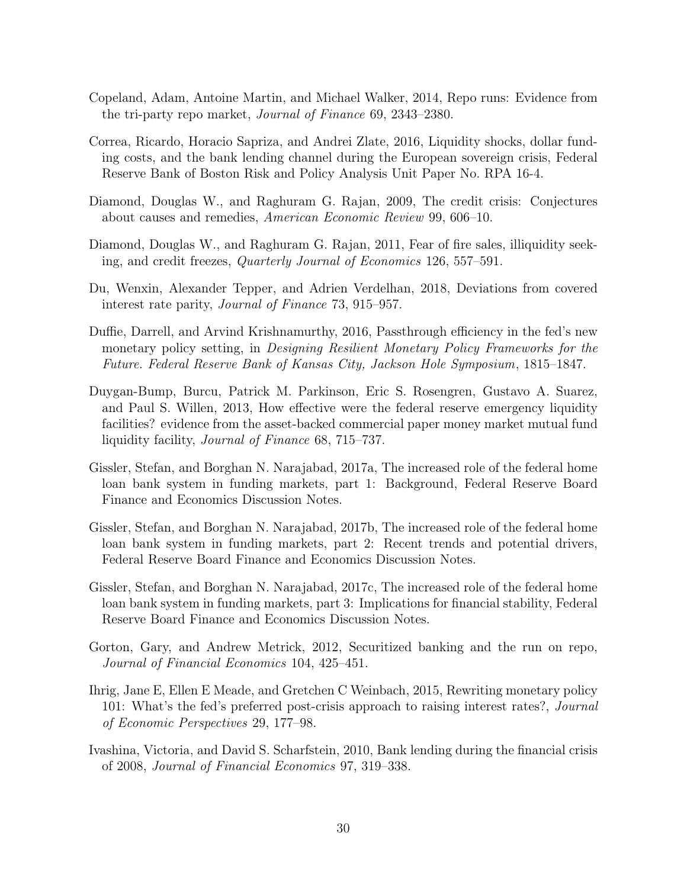- Copeland, Adam, Antoine Martin, and Michael Walker, 2014, Repo runs: Evidence from the tri-party repo market, Journal of Finance 69, 2343–2380.
- Correa, Ricardo, Horacio Sapriza, and Andrei Zlate, 2016, Liquidity shocks, dollar funding costs, and the bank lending channel during the European sovereign crisis, Federal Reserve Bank of Boston Risk and Policy Analysis Unit Paper No. RPA 16-4.
- Diamond, Douglas W., and Raghuram G. Rajan, 2009, The credit crisis: Conjectures about causes and remedies, American Economic Review 99, 606–10.
- Diamond, Douglas W., and Raghuram G. Rajan, 2011, Fear of fire sales, illiquidity seeking, and credit freezes, Quarterly Journal of Economics 126, 557–591.
- Du, Wenxin, Alexander Tepper, and Adrien Verdelhan, 2018, Deviations from covered interest rate parity, Journal of Finance 73, 915–957.
- Duffie, Darrell, and Arvind Krishnamurthy, 2016, Passthrough efficiency in the fed's new monetary policy setting, in Designing Resilient Monetary Policy Frameworks for the Future. Federal Reserve Bank of Kansas City, Jackson Hole Symposium, 1815–1847.
- Duygan-Bump, Burcu, Patrick M. Parkinson, Eric S. Rosengren, Gustavo A. Suarez, and Paul S. Willen, 2013, How effective were the federal reserve emergency liquidity facilities? evidence from the asset-backed commercial paper money market mutual fund liquidity facility, Journal of Finance 68, 715–737.
- Gissler, Stefan, and Borghan N. Narajabad, 2017a, The increased role of the federal home loan bank system in funding markets, part 1: Background, Federal Reserve Board Finance and Economics Discussion Notes.
- Gissler, Stefan, and Borghan N. Narajabad, 2017b, The increased role of the federal home loan bank system in funding markets, part 2: Recent trends and potential drivers, Federal Reserve Board Finance and Economics Discussion Notes.
- Gissler, Stefan, and Borghan N. Narajabad, 2017c, The increased role of the federal home loan bank system in funding markets, part 3: Implications for financial stability, Federal Reserve Board Finance and Economics Discussion Notes.
- Gorton, Gary, and Andrew Metrick, 2012, Securitized banking and the run on repo, Journal of Financial Economics 104, 425–451.
- Ihrig, Jane E, Ellen E Meade, and Gretchen C Weinbach, 2015, Rewriting monetary policy 101: What's the fed's preferred post-crisis approach to raising interest rates?, *Journal* of Economic Perspectives 29, 177–98.
- Ivashina, Victoria, and David S. Scharfstein, 2010, Bank lending during the financial crisis of 2008, Journal of Financial Economics 97, 319–338.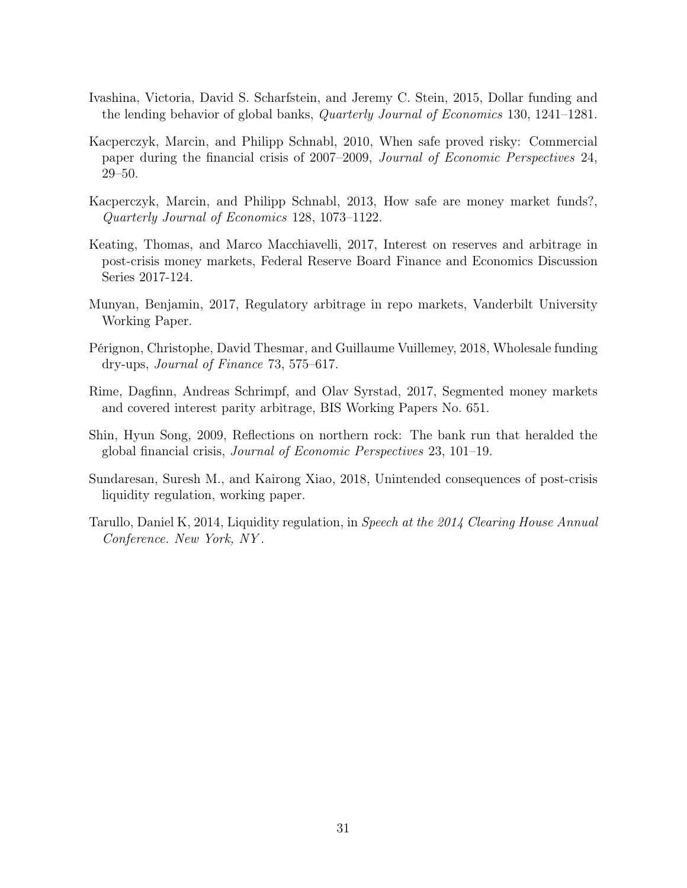- Ivashina, Victoria, David S. Scharfstein, and Jeremy C. Stein, 2015, Dollar funding and the lending behavior of global banks, Quarterly Journal of Economics 130, 1241–1281.
- Kacperczyk, Marcin, and Philipp Schnabl, 2010, When safe proved risky: Commercial paper during the financial crisis of 2007–2009, Journal of Economic Perspectives 24, 29–50.
- Kacperczyk, Marcin, and Philipp Schnabl, 2013, How safe are money market funds?, Quarterly Journal of Economics 128, 1073–1122.
- Keating, Thomas, and Marco Macchiavelli, 2017, Interest on reserves and arbitrage in post-crisis money markets, Federal Reserve Board Finance and Economics Discussion Series 2017-124.
- Munyan, Benjamin, 2017, Regulatory arbitrage in repo markets, Vanderbilt University Working Paper.
- Pérignon, Christophe, David Thesmar, and Guillaume Vuillemey, 2018, Wholesale funding dry-ups, Journal of Finance 73, 575–617.
- Rime, Dagfinn, Andreas Schrimpf, and Olav Syrstad, 2017, Segmented money markets and covered interest parity arbitrage, BIS Working Papers No. 651.
- Shin, Hyun Song, 2009, Reflections on northern rock: The bank run that heralded the global financial crisis, Journal of Economic Perspectives 23, 101–19.
- Sundaresan, Suresh M., and Kairong Xiao, 2018, Unintended consequences of post-crisis liquidity regulation, working paper.
- Tarullo, Daniel K, 2014, Liquidity regulation, in Speech at the 2014 Clearing House Annual Conference. New York, NY .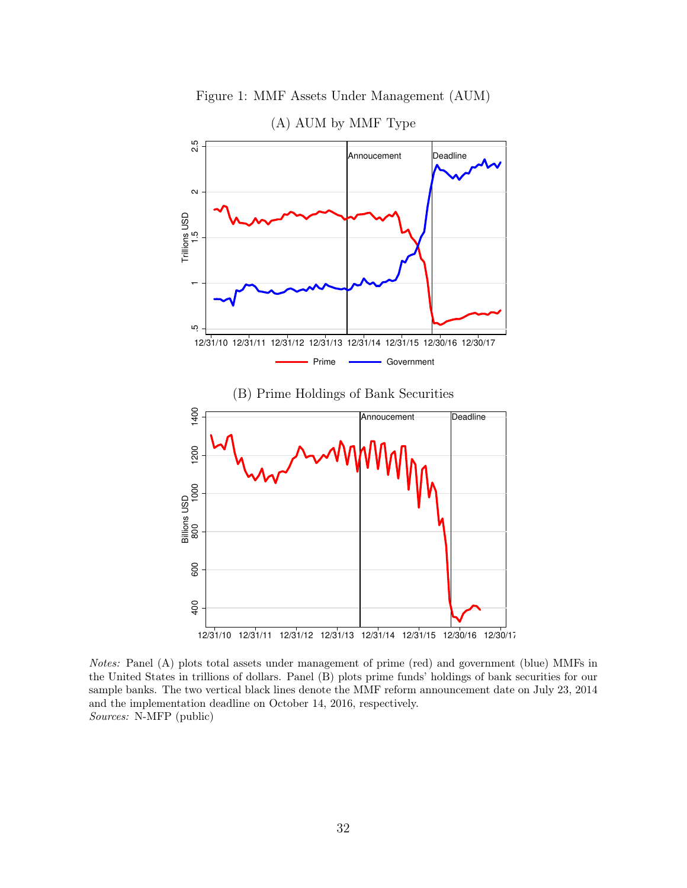

Figure 1: MMF Assets Under Management (AUM)

Notes: Panel (A) plots total assets under management of prime (red) and government (blue) MMFs in the United States in trillions of dollars. Panel (B) plots prime funds' holdings of bank securities for our sample banks. The two vertical black lines denote the MMF reform announcement date on July 23, 2014 and the implementation deadline on October 14, 2016, respectively. Sources: N-MFP (public)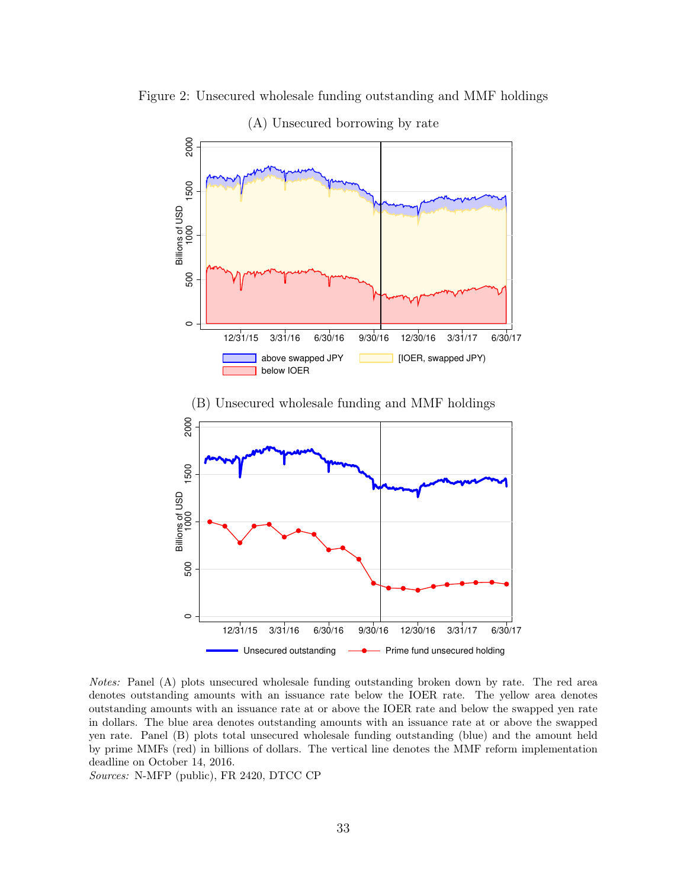

Figure 2: Unsecured wholesale funding outstanding and MMF holdings

Notes: Panel (A) plots unsecured wholesale funding outstanding broken down by rate. The red area denotes outstanding amounts with an issuance rate below the IOER rate. The yellow area denotes outstanding amounts with an issuance rate at or above the IOER rate and below the swapped yen rate in dollars. The blue area denotes outstanding amounts with an issuance rate at or above the swapped yen rate. Panel (B) plots total unsecured wholesale funding outstanding (blue) and the amount held by prime MMFs (red) in billions of dollars. The vertical line denotes the MMF reform implementation deadline on October 14, 2016.

Sources: N-MFP (public), FR 2420, DTCC CP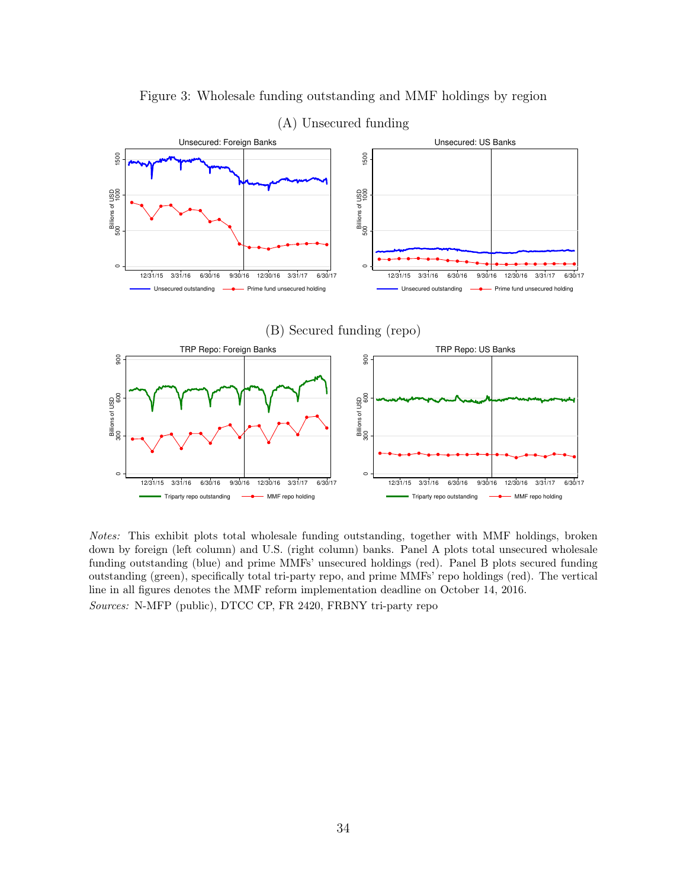

Figure 3: Wholesale funding outstanding and MMF holdings by region

Notes: This exhibit plots total wholesale funding outstanding, together with MMF holdings, broken down by foreign (left column) and U.S. (right column) banks. Panel A plots total unsecured wholesale funding outstanding (blue) and prime MMFs' unsecured holdings (red). Panel B plots secured funding outstanding (green), specifically total tri-party repo, and prime MMFs' repo holdings (red). The vertical line in all figures denotes the MMF reform implementation deadline on October 14, 2016. Sources: N-MFP (public), DTCC CP, FR 2420, FRBNY tri-party repo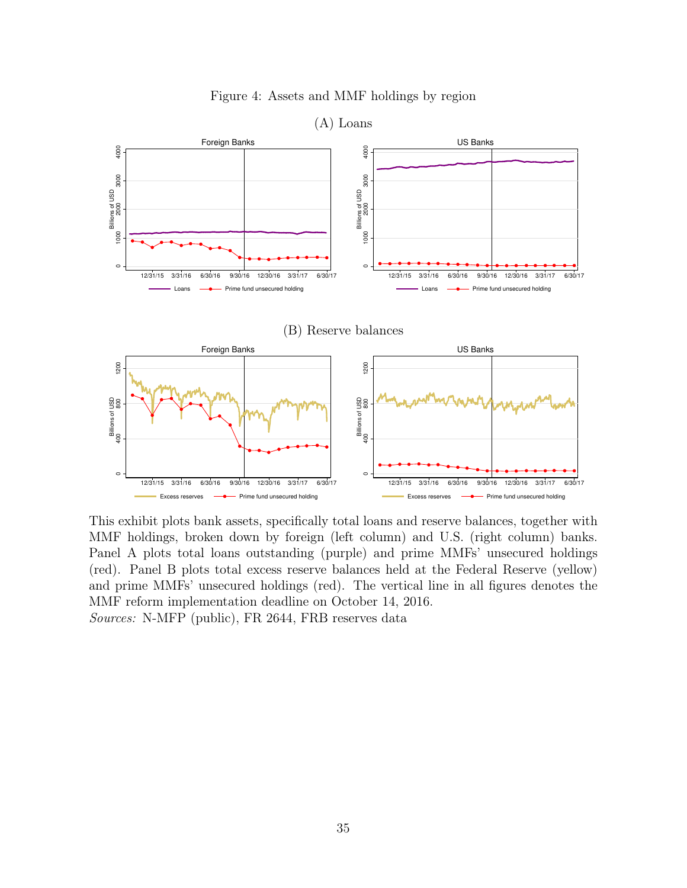

Figure 4: Assets and MMF holdings by region

This exhibit plots bank assets, specifically total loans and reserve balances, together with MMF holdings, broken down by foreign (left column) and U.S. (right column) banks. Panel A plots total loans outstanding (purple) and prime MMFs' unsecured holdings (red). Panel B plots total excess reserve balances held at the Federal Reserve (yellow) and prime MMFs' unsecured holdings (red). The vertical line in all figures denotes the MMF reform implementation deadline on October 14, 2016. Sources: N-MFP (public), FR 2644, FRB reserves data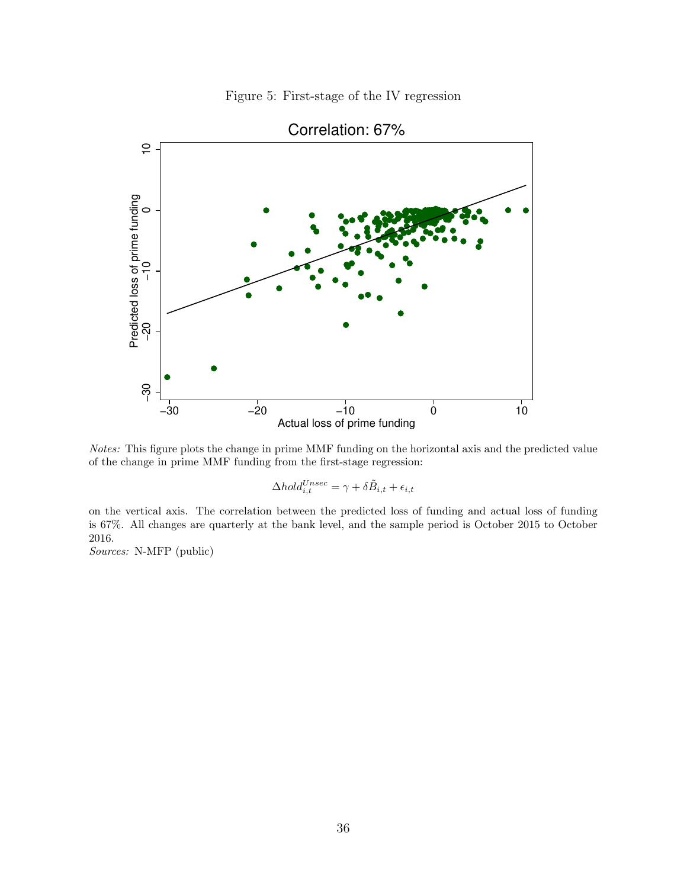Figure 5: First-stage of the IV regression



Notes: This figure plots the change in prime MMF funding on the horizontal axis and the predicted value of the change in prime MMF funding from the first-stage regression:

$$
\Delta hold_{i,t}^{Unsec} = \gamma + \delta \tilde{B}_{i,t} + \epsilon_{i,t}
$$

on the vertical axis. The correlation between the predicted loss of funding and actual loss of funding is 67%. All changes are quarterly at the bank level, and the sample period is October 2015 to October 2016.

Sources: N-MFP (public)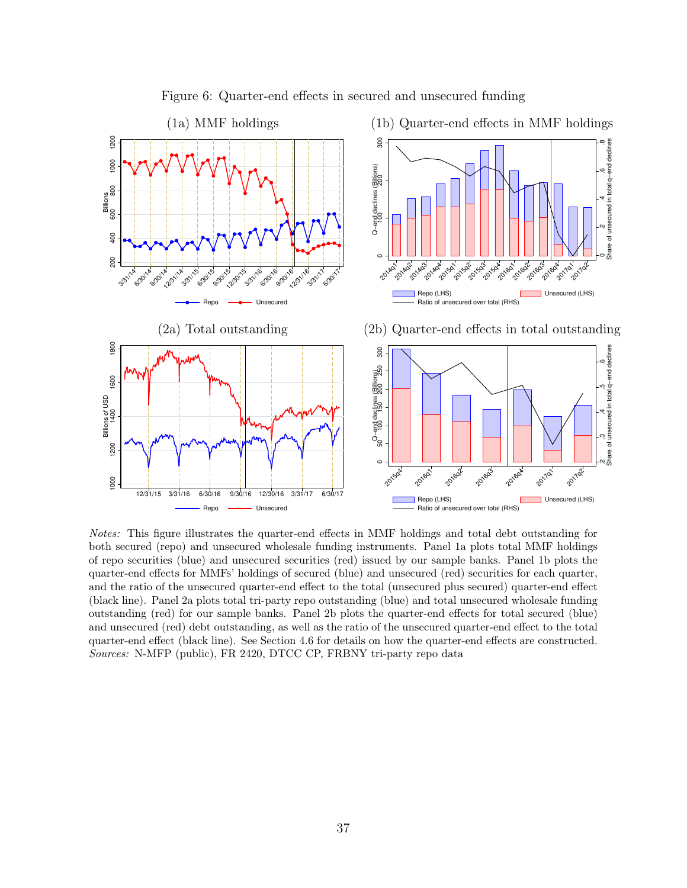

Figure 6: Quarter-end effects in secured and unsecured funding

Notes: This figure illustrates the quarter-end effects in MMF holdings and total debt outstanding for both secured (repo) and unsecured wholesale funding instruments. Panel 1a plots total MMF holdings of repo securities (blue) and unsecured securities (red) issued by our sample banks. Panel 1b plots the quarter-end effects for MMFs' holdings of secured (blue) and unsecured (red) securities for each quarter, and the ratio of the unsecured quarter-end effect to the total (unsecured plus secured) quarter-end effect (black line). Panel 2a plots total tri-party repo outstanding (blue) and total unsecured wholesale funding outstanding (red) for our sample banks. Panel 2b plots the quarter-end effects for total secured (blue) and unsecured (red) debt outstanding, as well as the ratio of the unsecured quarter-end effect to the total quarter-end effect (black line). See Section 4.6 for details on how the quarter-end effects are constructed. Sources: N-MFP (public), FR 2420, DTCC CP, FRBNY tri-party repo data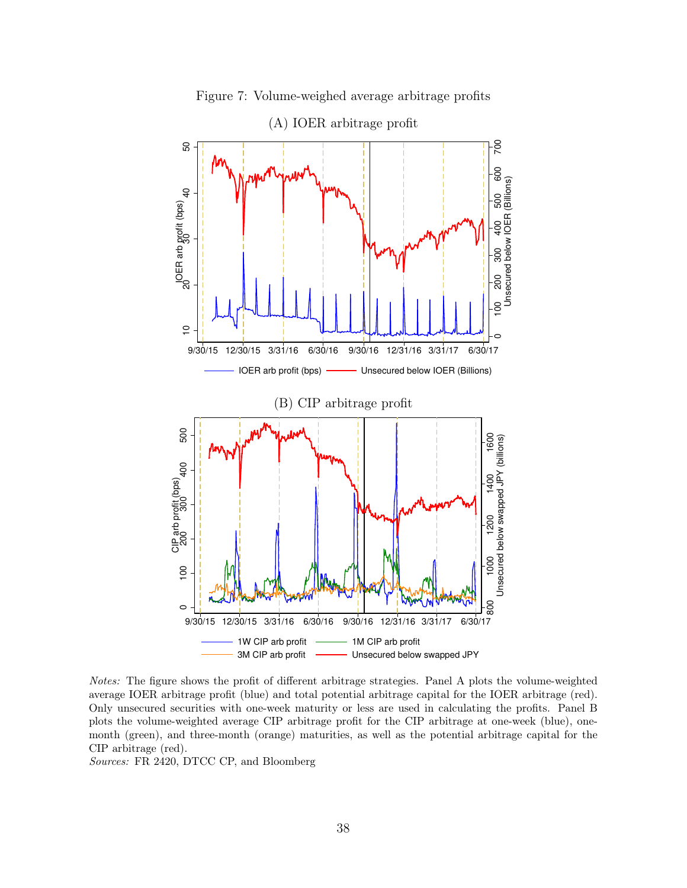

Figure 7: Volume-weighed average arbitrage profits

Notes: The figure shows the profit of different arbitrage strategies. Panel A plots the volume-weighted average IOER arbitrage profit (blue) and total potential arbitrage capital for the IOER arbitrage (red). Only unsecured securities with one-week maturity or less are used in calculating the profits. Panel B plots the volume-weighted average CIP arbitrage profit for the CIP arbitrage at one-week (blue), onemonth (green), and three-month (orange) maturities, as well as the potential arbitrage capital for the CIP arbitrage (red).

Sources: FR 2420, DTCC CP, and Bloomberg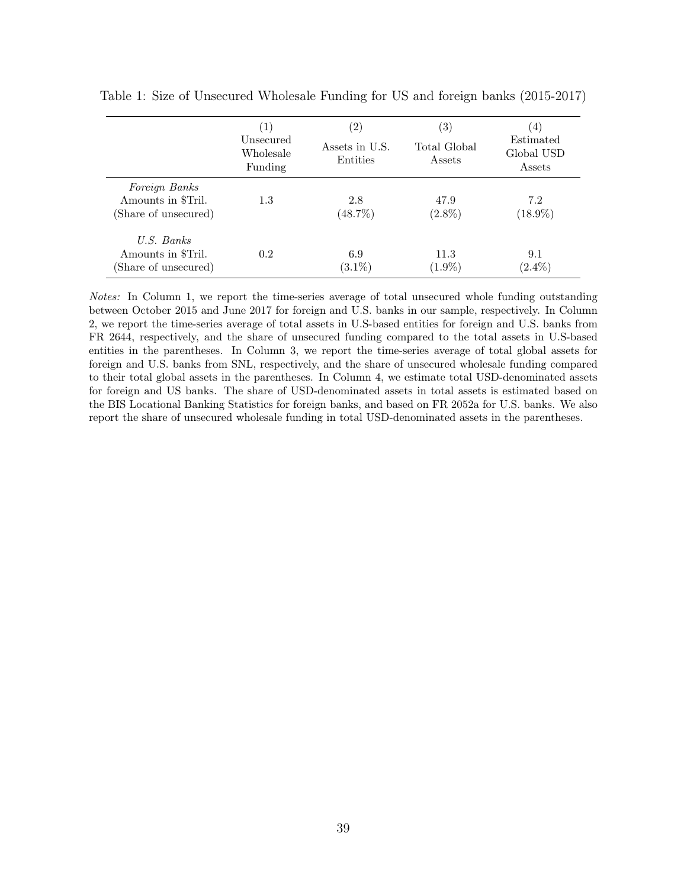|                                                             | Unsecured<br>Wholesale<br>Funding | Assets in U.S.<br>Entities | $\left( 3\right)$<br>Total Global<br>Assets | $\left(4\right)$<br>Estimated<br>Global USD<br>Assets |
|-------------------------------------------------------------|-----------------------------------|----------------------------|---------------------------------------------|-------------------------------------------------------|
| Foreign Banks<br>Amounts in \$Tril.<br>(Share of unsecured) | 1.3                               | 2.8<br>$(48.7\%)$          | 47.9<br>$(2.8\%)$                           | 7.2<br>$(18.9\%)$                                     |
| $U.S.$ Banks<br>Amounts in \$Tril.<br>(Share of unsecured)  | 0.2                               | 6.9<br>$(3.1\%)$           | 11.3<br>$(1.9\%)$                           | 9.1<br>$(2.4\%)$                                      |

Table 1: Size of Unsecured Wholesale Funding for US and foreign banks (2015-2017)

Notes: In Column 1, we report the time-series average of total unsecured whole funding outstanding between October 2015 and June 2017 for foreign and U.S. banks in our sample, respectively. In Column 2, we report the time-series average of total assets in U.S-based entities for foreign and U.S. banks from FR 2644, respectively, and the share of unsecured funding compared to the total assets in U.S-based entities in the parentheses. In Column 3, we report the time-series average of total global assets for foreign and U.S. banks from SNL, respectively, and the share of unsecured wholesale funding compared to their total global assets in the parentheses. In Column 4, we estimate total USD-denominated assets for foreign and US banks. The share of USD-denominated assets in total assets is estimated based on the BIS Locational Banking Statistics for foreign banks, and based on FR 2052a for U.S. banks. We also report the share of unsecured wholesale funding in total USD-denominated assets in the parentheses.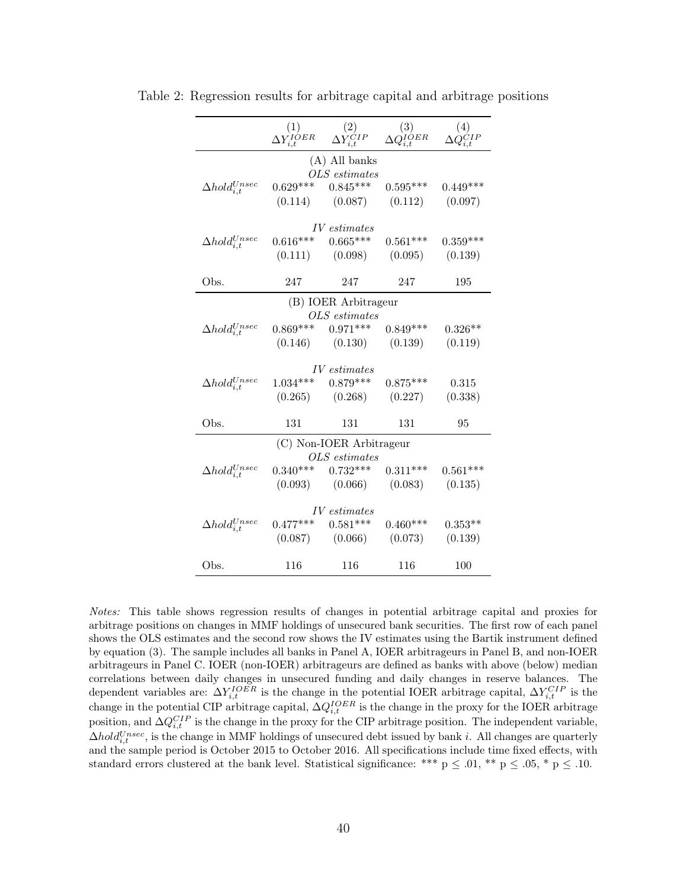|                             | $\begin{matrix} (1) \ \Delta Y^{IOER}_{i,t} \end{matrix}$ | $\overset{(2)}{\Delta Y_{i,t}^{CIP}}$ | $\overset{(3)}{\Delta Q^{IOER}_{i,t}}$ | (4)        |  |  |  |
|-----------------------------|-----------------------------------------------------------|---------------------------------------|----------------------------------------|------------|--|--|--|
| $(A)$ All banks             |                                                           |                                       |                                        |            |  |  |  |
|                             |                                                           | OLS estimates                         |                                        |            |  |  |  |
| $\Delta hold_{i,t}^{Unsec}$ | $0.629***$                                                | $0.845***$                            | $0.595***$                             | $0.449***$ |  |  |  |
|                             |                                                           | $(0.114)$ $(0.087)$ $(0.112)$         |                                        | (0.097)    |  |  |  |
|                             |                                                           |                                       |                                        |            |  |  |  |
|                             |                                                           | $IV\; estimates$                      |                                        |            |  |  |  |
| $\Delta hold_{i,t}^{Unsec}$ | $0.616***$                                                | $0.665***$                            | $0.561***$                             | $0.359***$ |  |  |  |
|                             |                                                           | $(0.111)$ $(0.098)$ $(0.095)$         |                                        | (0.139)    |  |  |  |
|                             |                                                           |                                       |                                        |            |  |  |  |
| Obs.                        | 247                                                       | 247                                   | 247                                    | 195        |  |  |  |
|                             |                                                           | (B) IOER Arbitrageur                  |                                        |            |  |  |  |
|                             |                                                           | OLS estimates                         |                                        |            |  |  |  |
| $\Delta hold_{i,t}^{Unsec}$ | $0.869***$                                                | $0.971***$                            | $0.849***$                             | $0.326**$  |  |  |  |
|                             |                                                           | $(0.146)$ $(0.130)$ $(0.139)$         |                                        | (0.119)    |  |  |  |
|                             |                                                           |                                       |                                        |            |  |  |  |
| <i>IV</i> estimates         |                                                           |                                       |                                        |            |  |  |  |
| $\Delta hold_{i,t}^{Unsec}$ |                                                           | $1.034***$ $0.879***$                 | $0.875***$                             | 0.315      |  |  |  |
|                             |                                                           | $(0.265)$ $(0.268)$ $(0.227)$         |                                        | (0.338)    |  |  |  |
|                             |                                                           |                                       |                                        |            |  |  |  |
| Obs.                        | 131                                                       | 131                                   | 131                                    | 95         |  |  |  |
| (C) Non-IOER Arbitrageur    |                                                           |                                       |                                        |            |  |  |  |
| $OLS\; estimates$           |                                                           |                                       |                                        |            |  |  |  |
| $\Delta hold_{i,t}^{Unsec}$ | $0.340***$                                                | $0.732***$                            | $0.311***$                             | $0.561***$ |  |  |  |
|                             |                                                           | $(0.093)$ $(0.066)$ $(0.083)$         |                                        | (0.135)    |  |  |  |
|                             |                                                           |                                       |                                        |            |  |  |  |
|                             |                                                           | IV estimates                          |                                        |            |  |  |  |
| $\Delta hold_{i,t}^{Unsec}$ | $0.477***$                                                | $0.581***$                            | $0.460***$                             | $0.353**$  |  |  |  |
|                             |                                                           | $(0.087)$ $(0.066)$ $(0.073)$         |                                        | (0.139)    |  |  |  |
|                             |                                                           |                                       |                                        |            |  |  |  |
| Obs.                        | 116                                                       | 116                                   | 116                                    | 100        |  |  |  |

Table 2: Regression results for arbitrage capital and arbitrage positions

Notes: This table shows regression results of changes in potential arbitrage capital and proxies for arbitrage positions on changes in MMF holdings of unsecured bank securities. The first row of each panel shows the OLS estimates and the second row shows the IV estimates using the Bartik instrument defined by equation (3). The sample includes all banks in Panel A, IOER arbitrageurs in Panel B, and non-IOER arbitrageurs in Panel C. IOER (non-IOER) arbitrageurs are defined as banks with above (below) median correlations between daily changes in unsecured funding and daily changes in reserve balances. The dependent variables are:  $\Delta Y_{i,t}^{IOER}$  is the change in the potential IOER arbitrage capital,  $\Delta Y_{i,t}^{CIP}$  is the change in the potential CIP arbitrage capital,  $\Delta Q_{i,t}^{IOER}$  is the change in the proxy for the IOER arbitrage position, and  $\Delta Q_{i,t}^{CIP}$  is the change in the proxy for the CIP arbitrage position. The independent variable,  $\Delta hold_{i,t}^{Unsec}$ , is the change in MMF holdings of unsecured debt issued by bank i. All changes are quarterly and the sample period is October 2015 to October 2016. All specifications include time fixed effects, with standard errors clustered at the bank level. Statistical significance: \*\*\*  $p \leq .01$ , \*\*  $p \leq .05$ , \*  $p \leq .10$ .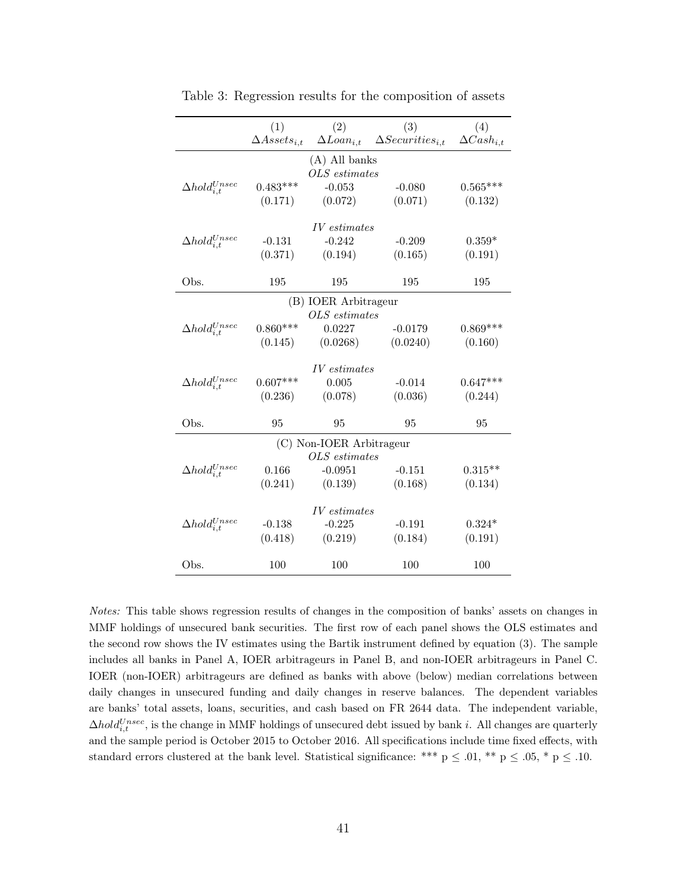|                             | (1)                   | (2)                 | (3)                                         | (4)                 |  |  |  |
|-----------------------------|-----------------------|---------------------|---------------------------------------------|---------------------|--|--|--|
|                             | $\Delta Assets_{i,t}$ |                     | $\Delta Loan_{i,t}$ $\Delta Security_{i,t}$ | $\Delta Cash_{i.t}$ |  |  |  |
| $(A)$ All banks             |                       |                     |                                             |                     |  |  |  |
|                             |                       | OLS estimates       |                                             |                     |  |  |  |
| $\Delta hold_{i,t}^{Unsec}$ | $0.483***$            | $-0.053$            | $-0.080$                                    | $0.565***$          |  |  |  |
|                             | (0.171)               | (0.072)             | (0.071)                                     | (0.132)             |  |  |  |
|                             |                       |                     |                                             |                     |  |  |  |
|                             |                       | <i>IV</i> estimates |                                             |                     |  |  |  |
| $\Delta hold_{i,t}^{Unsec}$ | $-0.131$              | $-0.242$            | $-0.209$                                    | $0.359*$            |  |  |  |
|                             | (0.371)               | (0.194)             | (0.165)                                     | (0.191)             |  |  |  |
|                             |                       |                     |                                             |                     |  |  |  |
| Obs.                        | 195                   | 195                 | 195                                         | 195                 |  |  |  |
| (B) IOER Arbitrageur        |                       |                     |                                             |                     |  |  |  |
|                             |                       | $OLS$ estimates     |                                             |                     |  |  |  |
| $\Delta hold_{i,t}^{Unsec}$ | $0.860***$            | 0.0227              | $-0.0179$                                   | $0.869***$          |  |  |  |
|                             | (0.145)               | (0.0268)            | (0.0240)                                    | (0.160)             |  |  |  |
|                             |                       |                     |                                             |                     |  |  |  |
|                             |                       | <i>IV</i> estimates |                                             |                     |  |  |  |
| $\Delta hold_{i,t}^{Unsec}$ | $0.607***$            | 0.005               | $-0.014$                                    | $0.647***$          |  |  |  |
|                             | (0.236)               | (0.078)             | (0.036)                                     | (0.244)             |  |  |  |
| Obs.                        | 95                    | 95                  | 95                                          |                     |  |  |  |
|                             |                       |                     |                                             | 95                  |  |  |  |
| (C) Non-IOER Arbitrageur    |                       |                     |                                             |                     |  |  |  |
|                             |                       | OLS estimates       |                                             |                     |  |  |  |
| $\Delta hold_{i.t}^{Unsec}$ | 0.166                 | $-0.0951$           | $-0.151$                                    | $0.315**$           |  |  |  |
|                             | (0.241)               | (0.139)             | (0.168)                                     | (0.134)             |  |  |  |
|                             |                       |                     |                                             |                     |  |  |  |
|                             |                       | <i>IV</i> estimates |                                             |                     |  |  |  |
| $\Delta hold_{i,t}^{Unsec}$ | $-0.138$              | $-0.225$            | $-0.191$                                    | $0.324*$            |  |  |  |
|                             | (0.418)               | (0.219)             | (0.184)                                     | (0.191)             |  |  |  |
|                             |                       |                     |                                             |                     |  |  |  |
| Obs.                        | 100                   | 100                 | 100                                         | 100                 |  |  |  |

Table 3: Regression results for the composition of assets

Notes: This table shows regression results of changes in the composition of banks' assets on changes in MMF holdings of unsecured bank securities. The first row of each panel shows the OLS estimates and the second row shows the IV estimates using the Bartik instrument defined by equation (3). The sample includes all banks in Panel A, IOER arbitrageurs in Panel B, and non-IOER arbitrageurs in Panel C. IOER (non-IOER) arbitrageurs are defined as banks with above (below) median correlations between daily changes in unsecured funding and daily changes in reserve balances. The dependent variables are banks' total assets, loans, securities, and cash based on FR 2644 data. The independent variable,  $\Delta hold_{i,t}^{Unsec}$ , is the change in MMF holdings of unsecured debt issued by bank i. All changes are quarterly and the sample period is October 2015 to October 2016. All specifications include time fixed effects, with standard errors clustered at the bank level. Statistical significance: \*\*\*  $p \leq .01$ , \*\*  $p \leq .05$ , \*  $p \leq .10$ .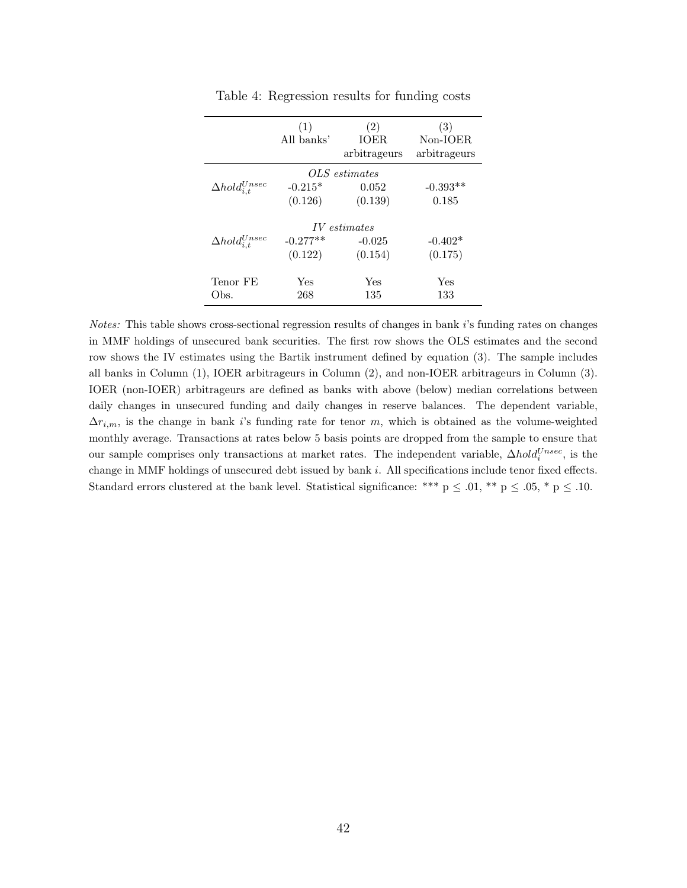|                             | (1)<br>All banks'     | (2)<br><b>TOER</b><br>arbitrageurs         | (3)<br>Non-IOER<br>arbitrageurs |
|-----------------------------|-----------------------|--------------------------------------------|---------------------------------|
| $\Delta hold_{i.t}^{Unsec}$ | $-0.215*$<br>(0.126)  | OLS estimates<br>0.052<br>(0.139)          | $-0.393**$<br>0.185             |
| $\Delta hold_{i,t}^{Unsec}$ | $-0.277**$<br>(0.122) | <i>IV</i> estimates<br>$-0.025$<br>(0.154) | $-0.402*$<br>(0.175)            |
| Tenor FE<br>Obs.            | Yes<br>268            | Yes<br>135                                 | Yes<br>133                      |

Table 4: Regression results for funding costs

Notes: This table shows cross-sectional regression results of changes in bank i's funding rates on changes in MMF holdings of unsecured bank securities. The first row shows the OLS estimates and the second row shows the IV estimates using the Bartik instrument defined by equation (3). The sample includes all banks in Column (1), IOER arbitrageurs in Column (2), and non-IOER arbitrageurs in Column (3). IOER (non-IOER) arbitrageurs are defined as banks with above (below) median correlations between daily changes in unsecured funding and daily changes in reserve balances. The dependent variable,  $\Delta r_{i,m}$ , is the change in bank i's funding rate for tenor m, which is obtained as the volume-weighted monthly average. Transactions at rates below 5 basis points are dropped from the sample to ensure that our sample comprises only transactions at market rates. The independent variable,  $\Delta hold_i^{Unsec}$ , is the change in MMF holdings of unsecured debt issued by bank i. All specifications include tenor fixed effects. Standard errors clustered at the bank level. Statistical significance: \*\*\*  $p \leq .01$ , \*\*  $p \leq .05$ , \*  $p \leq .10$ .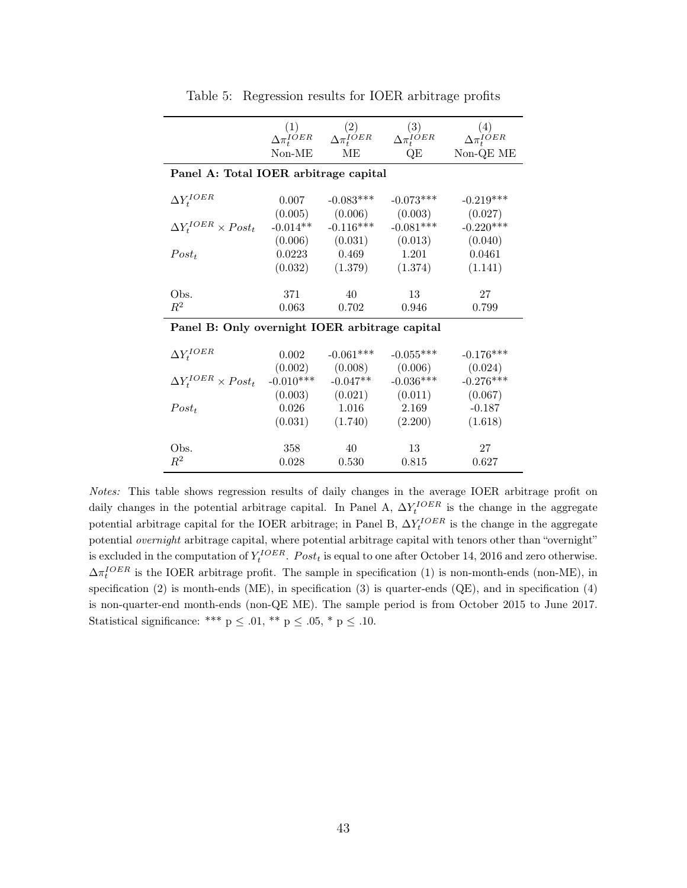|                                                |             | $(1)$ $(2)$<br>$\Delta \pi_t^{IOER}$ $\Delta \pi_t^{IOER}$ | $\frac{(3)}{\Delta \pi_t^{IOER}}$ | $\overset{(4)}{\Delta \pi_t^{IOER}}$ |  |  |  |
|------------------------------------------------|-------------|------------------------------------------------------------|-----------------------------------|--------------------------------------|--|--|--|
|                                                | $Non-ME$    | MЕ                                                         | QE                                | Non-QE ME                            |  |  |  |
| Panel A: Total IOER arbitrage capital          |             |                                                            |                                   |                                      |  |  |  |
| $\Delta Y_t^{IOER}$                            | 0.007       | $-0.083***$                                                | $-0.073***$                       | $-0.219***$                          |  |  |  |
|                                                |             | $(0.005)$ $(0.006)$                                        | (0.003)                           | (0.027)                              |  |  |  |
| $\Delta Y_t^{IOER} \times Post_t$              | $-0.014**$  | $-0.116***$                                                | $-0.081***$                       | $-0.220***$                          |  |  |  |
|                                                |             | $(0.006)$ $(0.031)$ $(0.013)$                              |                                   | (0.040)                              |  |  |  |
| $Post_t$                                       |             | $0.0223$ $0.469$                                           | 1.201                             | 0.0461                               |  |  |  |
|                                                | (0.032)     | (1.379)                                                    | (1.374)                           | (1.141)                              |  |  |  |
|                                                |             |                                                            |                                   |                                      |  |  |  |
| Obs.                                           | 371         | 40                                                         | 13                                | 27                                   |  |  |  |
| $R^2$                                          | 0.063       | 0.702                                                      | 0.946                             | 0.799                                |  |  |  |
| Panel B: Only overnight IOER arbitrage capital |             |                                                            |                                   |                                      |  |  |  |
| $\Delta Y_t^{IOER}$                            | 0.002       | $-0.061***$                                                | $-0.055***$                       | $-0.176***$                          |  |  |  |
|                                                |             | $(0.002)$ $(0.008)$                                        | (0.006)                           | (0.024)                              |  |  |  |
| $\Delta Y_t^{IOER} \times Post_t$              | $-0.010***$ | $-0.047**$                                                 | $-0.036***$                       | $-0.276***$                          |  |  |  |
|                                                |             | $(0.003)$ $(0.021)$                                        | (0.011)                           | (0.067)                              |  |  |  |
| $Post_t$                                       | 0.026       | 1.016                                                      | 2.169                             | $-0.187$                             |  |  |  |
|                                                |             | $(0.031)$ $(1.740)$ $(2.200)$                              |                                   | (1.618)                              |  |  |  |
|                                                |             |                                                            |                                   |                                      |  |  |  |
| Obs.                                           | 358         | 40                                                         | 13                                | 27                                   |  |  |  |
| $R^2$                                          | 0.028       | 0.530                                                      | 0.815                             | 0.627                                |  |  |  |

Table 5: Regression results for IOER arbitrage profits

Notes: This table shows regression results of daily changes in the average IOER arbitrage profit on daily changes in the potential arbitrage capital. In Panel A,  $\Delta Y_t^{IOER}$  is the change in the aggregate potential arbitrage capital for the IOER arbitrage; in Panel B,  $\Delta Y_t^{IOER}$  is the change in the aggregate potential overnight arbitrage capital, where potential arbitrage capital with tenors other than "overnight" is excluded in the computation of  $Y_t^{IOER}$ . Post<sub>t</sub> is equal to one after October 14, 2016 and zero otherwise.  $\Delta \pi_l^{IOER}$  is the IOER arbitrage profit. The sample in specification (1) is non-month-ends (non-ME), in specification (2) is month-ends (ME), in specification (3) is quarter-ends (QE), and in specification (4) is non-quarter-end month-ends (non-QE ME). The sample period is from October 2015 to June 2017. Statistical significance: \*\*\* p  $\leq$  .01, \*\* p  $\leq$  .05, \* p  $\leq$  .10.